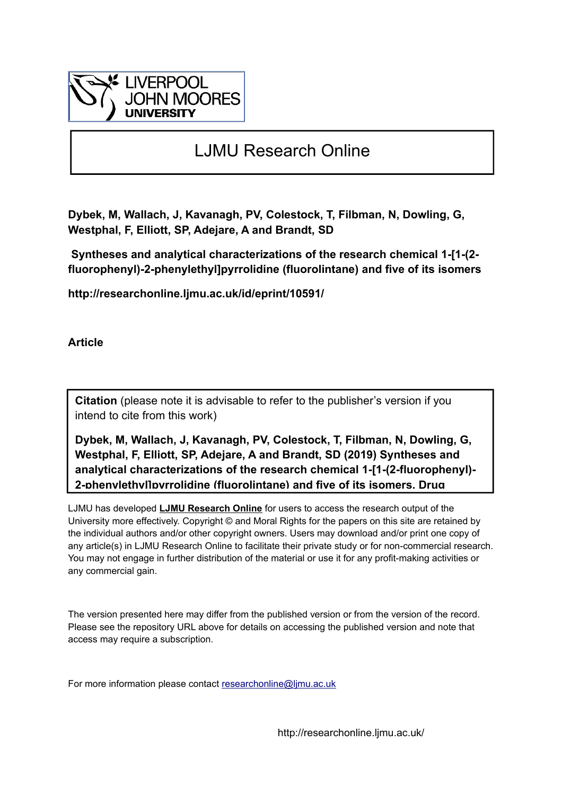

# LJMU Research Online

**Dybek, M, Wallach, J, Kavanagh, PV, Colestock, T, Filbman, N, Dowling, G, Westphal, F, Elliott, SP, Adejare, A and Brandt, SD**

 **Syntheses and analytical characterizations of the research chemical 1-[1-(2 fluorophenyl)-2-phenylethyl]pyrrolidine (fluorolintane) and five of its isomers**

**http://researchonline.ljmu.ac.uk/id/eprint/10591/**

**Article**

**Citation** (please note it is advisable to refer to the publisher's version if you intend to cite from this work)

**Dybek, M, Wallach, J, Kavanagh, PV, Colestock, T, Filbman, N, Dowling, G, Westphal, F, Elliott, SP, Adejare, A and Brandt, SD (2019) Syntheses and analytical characterizations of the research chemical 1-[1-(2-fluorophenyl)- 2-phenylethyl]pyrrolidine (fluorolintane) and five of its isomers. Drug** 

LJMU has developed **[LJMU Research Online](http://researchonline.ljmu.ac.uk/)** for users to access the research output of the University more effectively. Copyright © and Moral Rights for the papers on this site are retained by the individual authors and/or other copyright owners. Users may download and/or print one copy of any article(s) in LJMU Research Online to facilitate their private study or for non-commercial research. You may not engage in further distribution of the material or use it for any profit-making activities or any commercial gain.

The version presented here may differ from the published version or from the version of the record. Please see the repository URL above for details on accessing the published version and note that access may require a subscription.

For more information please contact researchonline@limu.ac.uk

http://researchonline.ljmu.ac.uk/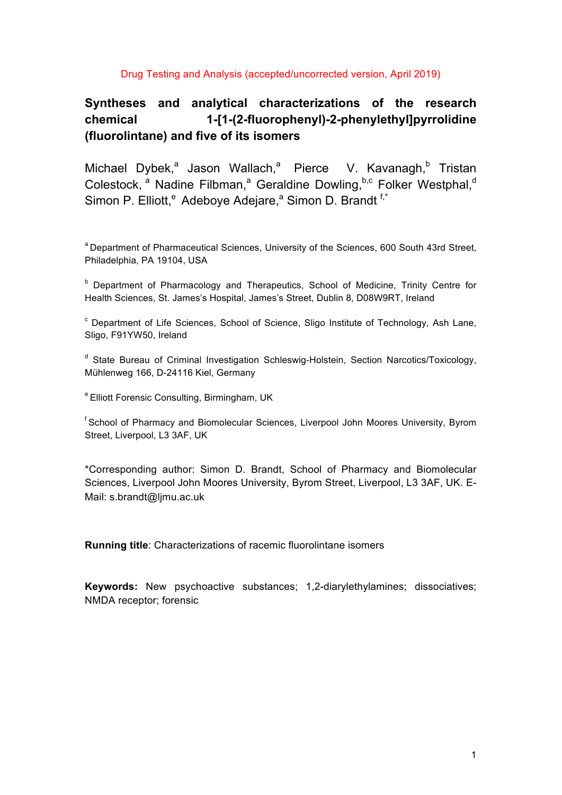#### Drug Testing and Analysis (accepted/uncorrected version, April 2019)

# **Syntheses and analytical characterizations of the research chemical 1-[1-(2-fluorophenyl)-2-phenylethyl]pyrrolidine (fluorolintane) and five of its isomers**

Michael Dybek,<sup>a</sup> Jason Wallach,<sup>a</sup> Pierce V. Kavanagh,<sup>b</sup> Tristan Colestock, <sup>a</sup> Nadine Filbman,<sup>a</sup> Geraldine Dowling, **b,c** Folker Westphal,<sup>d</sup> Simon P. Elliott,<sup>e</sup> Adeboye Adejare,<sup>a</sup> Simon D. Brandt<sup>f,\*</sup>

<sup>a</sup> Department of Pharmaceutical Sciences, University of the Sciences, 600 South 43rd Street, Philadelphia, PA 19104, USA

<sup>b</sup> Department of Pharmacology and Therapeutics, School of Medicine, Trinity Centre for Health Sciences, St. James's Hospital, James's Street, Dublin 8, D08W9RT, Ireland

 $\degree$  Department of Life Sciences, School of Science, Sligo Institute of Technology, Ash Lane, Sligo, F91YW50, Ireland

<sup>d</sup> State Bureau of Criminal Investigation Schleswig-Holstein, Section Narcotics/Toxicology, Mühlenweg 166, D-24116 Kiel, Germany

<sup>e</sup> Elliott Forensic Consulting, Birmingham, UK

<sup>f</sup> School of Pharmacy and Biomolecular Sciences, Liverpool John Moores University, Byrom Street, Liverpool, L3 3AF, UK

\*Corresponding author: Simon D. Brandt, School of Pharmacy and Biomolecular Sciences, Liverpool John Moores University, Byrom Street, Liverpool, L3 3AF, UK. E-Mail: s.brandt@ljmu.ac.uk

**Running title**: Characterizations of racemic fluorolintane isomers

**Keywords:** New psychoactive substances; 1,2-diarylethylamines; dissociatives; NMDA receptor; forensic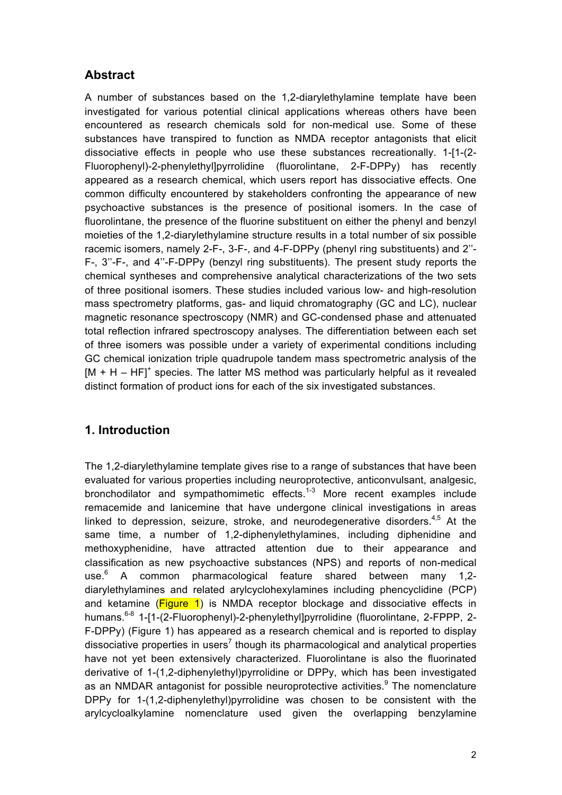# **Abstract**

A number of substances based on the 1,2-diarylethylamine template have been investigated for various potential clinical applications whereas others have been encountered as research chemicals sold for non-medical use. Some of these substances have transpired to function as NMDA receptor antagonists that elicit dissociative effects in people who use these substances recreationally. 1-[1-(2- Fluorophenyl)-2-phenylethyl]pyrrolidine (fluorolintane, 2-F-DPPy) has recently appeared as a research chemical, which users report has dissociative effects. One common difficulty encountered by stakeholders confronting the appearance of new psychoactive substances is the presence of positional isomers. In the case of fluorolintane, the presence of the fluorine substituent on either the phenyl and benzyl moieties of the 1,2-diarylethylamine structure results in a total number of six possible racemic isomers, namely 2-F-, 3-F-, and 4-F-DPPy (phenyl ring substituents) and 2''- F-, 3''-F-, and 4''-F-DPPy (benzyl ring substituents). The present study reports the chemical syntheses and comprehensive analytical characterizations of the two sets of three positional isomers. These studies included various low- and high-resolution mass spectrometry platforms, gas- and liquid chromatography (GC and LC), nuclear magnetic resonance spectroscopy (NMR) and GC-condensed phase and attenuated total reflection infrared spectroscopy analyses. The differentiation between each set of three isomers was possible under a variety of experimental conditions including GC chemical ionization triple quadrupole tandem mass spectrometric analysis of the  $[M + H - HF]$ <sup>+</sup> species. The latter MS method was particularly helpful as it revealed distinct formation of product ions for each of the six investigated substances.

# **1. Introduction**

The 1,2-diarylethylamine template gives rise to a range of substances that have been evaluated for various properties including neuroprotective, anticonvulsant, analgesic, bronchodilator and sympathomimetic effects.<sup>1-3</sup> More recent examples include remacemide and lanicemine that have undergone clinical investigations in areas linked to depression, seizure, stroke, and neurodegenerative disorders.<sup>4,5</sup> At the same time, a number of 1,2-diphenylethylamines, including diphenidine and methoxyphenidine, have attracted attention due to their appearance and classification as new psychoactive substances (NPS) and reports of non-medical use.<sup>6</sup> A common pharmacological feature shared between many 1,2diarylethylamines and related arylcyclohexylamines including phencyclidine (PCP) and ketamine (Figure 1) is NMDA receptor blockage and dissociative effects in humans.<sup>6-8</sup> 1-[1-(2-Fluorophenyl)-2-phenylethyl]pyrrolidine (fluorolintane, 2-FPPP, 2-F-DPPy) (Figure 1) has appeared as a research chemical and is reported to display dissociative properties in users<sup>7</sup> though its pharmacological and analytical properties have not yet been extensively characterized. Fluorolintane is also the fluorinated derivative of 1-(1,2-diphenylethyl)pyrrolidine or DPPy, which has been investigated as an NMDAR antagonist for possible neuroprotective activities.<sup>9</sup> The nomenclature DPPy for 1-(1,2-diphenylethyl)pyrrolidine was chosen to be consistent with the arylcycloalkylamine nomenclature used given the overlapping benzylamine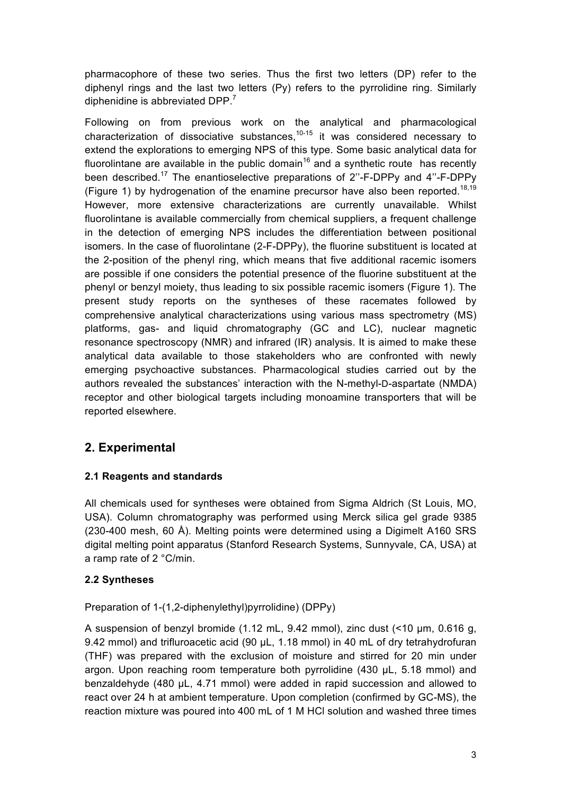pharmacophore of these two series. Thus the first two letters (DP) refer to the diphenyl rings and the last two letters (Py) refers to the pyrrolidine ring. Similarly diphenidine is abbreviated DPP.<sup>7</sup>

Following on from previous work on the analytical and pharmacological characterization of dissociative substances, $10-15$  it was considered necessary to extend the explorations to emerging NPS of this type. Some basic analytical data for fluorolintane are available in the public domain<sup>16</sup> and a synthetic route has recently been described.<sup>17</sup> The enantioselective preparations of 2"-F-DPPy and 4"-F-DPPy (Figure 1) by hydrogenation of the enamine precursor have also been reported.<sup>18,19</sup> However, more extensive characterizations are currently unavailable. Whilst fluorolintane is available commercially from chemical suppliers, a frequent challenge in the detection of emerging NPS includes the differentiation between positional isomers. In the case of fluorolintane (2-F-DPPy), the fluorine substituent is located at the 2-position of the phenyl ring, which means that five additional racemic isomers are possible if one considers the potential presence of the fluorine substituent at the phenyl or benzyl moiety, thus leading to six possible racemic isomers (Figure 1). The present study reports on the syntheses of these racemates followed by comprehensive analytical characterizations using various mass spectrometry (MS) platforms, gas- and liquid chromatography (GC and LC), nuclear magnetic resonance spectroscopy (NMR) and infrared (IR) analysis. It is aimed to make these analytical data available to those stakeholders who are confronted with newly emerging psychoactive substances. Pharmacological studies carried out by the authors revealed the substances' interaction with the N-methyl-D-aspartate (NMDA) receptor and other biological targets including monoamine transporters that will be reported elsewhere.

# **2. Experimental**

### **2.1 Reagents and standards**

All chemicals used for syntheses were obtained from Sigma Aldrich (St Louis, MO, USA). Column chromatography was performed using Merck silica gel grade 9385 (230-400 mesh, 60 Å). Melting points were determined using a Digimelt A160 SRS digital melting point apparatus (Stanford Research Systems, Sunnyvale, CA, USA) at a ramp rate of 2 °C/min.

#### **2.2 Syntheses**

Preparation of 1-(1,2-diphenylethyl)pyrrolidine) (DPPy)

A suspension of benzyl bromide  $(1.12 \text{ mL}, 9.42 \text{ mm})$ , zinc dust  $(1.10 \text{ mm}, 0.616 \text{ g})$ 9.42 mmol) and trifluroacetic acid (90 µL, 1.18 mmol) in 40 mL of dry tetrahydrofuran (THF) was prepared with the exclusion of moisture and stirred for 20 min under argon. Upon reaching room temperature both pyrrolidine  $(430 \mu L, 5.18 \text{ mmol})$  and benzaldehyde (480 µL, 4.71 mmol) were added in rapid succession and allowed to react over 24 h at ambient temperature. Upon completion (confirmed by GC-MS), the reaction mixture was poured into 400 mL of 1 M HCl solution and washed three times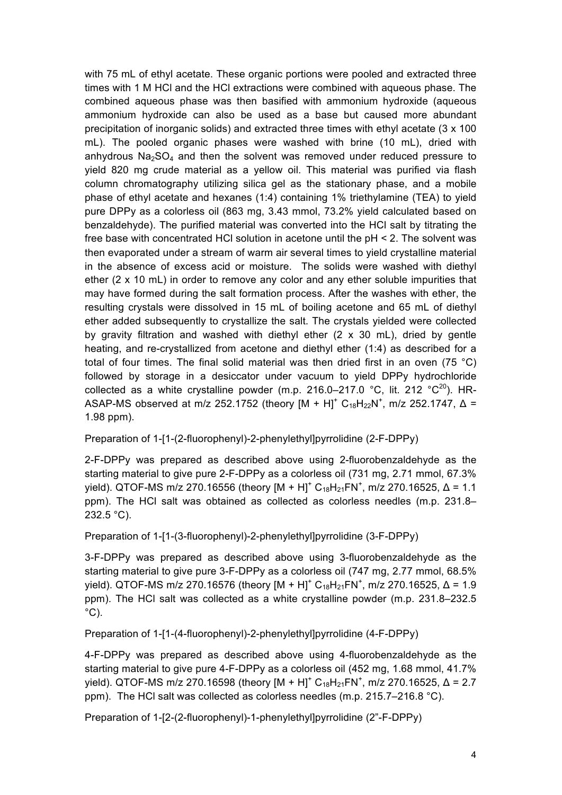with 75 mL of ethyl acetate. These organic portions were pooled and extracted three times with 1 M HCl and the HCl extractions were combined with aqueous phase. The combined aqueous phase was then basified with ammonium hydroxide (aqueous ammonium hydroxide can also be used as a base but caused more abundant precipitation of inorganic solids) and extracted three times with ethyl acetate (3 x 100 mL). The pooled organic phases were washed with brine (10 mL), dried with anhydrous  $Na<sub>2</sub>SO<sub>4</sub>$  and then the solvent was removed under reduced pressure to yield 820 mg crude material as a yellow oil. This material was purified via flash column chromatography utilizing silica gel as the stationary phase, and a mobile phase of ethyl acetate and hexanes (1:4) containing 1% triethylamine (TEA) to yield pure DPPy as a colorless oil (863 mg, 3.43 mmol, 73.2% yield calculated based on benzaldehyde). The purified material was converted into the HCl salt by titrating the free base with concentrated HCl solution in acetone until the pH < 2. The solvent was then evaporated under a stream of warm air several times to yield crystalline material in the absence of excess acid or moisture. The solids were washed with diethyl ether (2 x 10 mL) in order to remove any color and any ether soluble impurities that may have formed during the salt formation process. After the washes with ether, the resulting crystals were dissolved in 15 mL of boiling acetone and 65 mL of diethyl ether added subsequently to crystallize the salt. The crystals yielded were collected by gravity filtration and washed with diethyl ether (2 x 30 mL), dried by gentle heating, and re-crystallized from acetone and diethyl ether (1:4) as described for a total of four times. The final solid material was then dried first in an oven (75 °C) followed by storage in a desiccator under vacuum to yield DPPy hydrochloride collected as a white crystalline powder (m.p. 216.0–217.0 °C, lit. 212 °C<sup>20</sup>). HR-ASAP-MS observed at m/z 252.1752 (theory  $[M + H]^+ C_{18}H_{22}N^+$ , m/z 252.1747,  $\Delta =$ 1.98 ppm).

Preparation of 1-[1-(2-fluorophenyl)-2-phenylethyl]pyrrolidine (2-F-DPPy)

2-F-DPPy was prepared as described above using 2-fluorobenzaldehyde as the starting material to give pure 2-F-DPPy as a colorless oil (731 mg, 2.71 mmol, 67.3% yield). QTOF-MS m/z 270.16556 (theory  $[M + H]^+ C_{18}H_{21}FN^+$ , m/z 270.16525, Δ = 1.1 ppm). The HCl salt was obtained as collected as colorless needles (m.p. 231.8– 232.5 °C).

Preparation of 1-[1-(3-fluorophenyl)-2-phenylethyl]pyrrolidine (3-F-DPPy)

3-F-DPPy was prepared as described above using 3-fluorobenzaldehyde as the starting material to give pure 3-F-DPPy as a colorless oil (747 mg, 2.77 mmol, 68.5% yield). QTOF-MS m/z 270.16576 (theory [M + H]<sup>+</sup> C<sub>18</sub>H<sub>21</sub>FN<sup>+</sup>, m/z 270.16525, Δ = 1.9 ppm). The HCl salt was collected as a white crystalline powder (m.p. 231.8–232.5  $^{\circ}$ C).

Preparation of 1-[1-(4-fluorophenyl)-2-phenylethyl]pyrrolidine (4-F-DPPy)

4-F-DPPy was prepared as described above using 4-fluorobenzaldehyde as the starting material to give pure 4-F-DPPy as a colorless oil (452 mg, 1.68 mmol, 41.7% yield). QTOF-MS m/z 270.16598 (theory  $[M + H]^+ C_{18}H_{21}$ FN<sup>+</sup>, m/z 270.16525, Δ = 2.7 ppm). The HCl salt was collected as colorless needles (m.p. 215.7–216.8 °C).

Preparation of 1-[2-(2-fluorophenyl)-1-phenylethyl]pyrrolidine (2"-F-DPPy)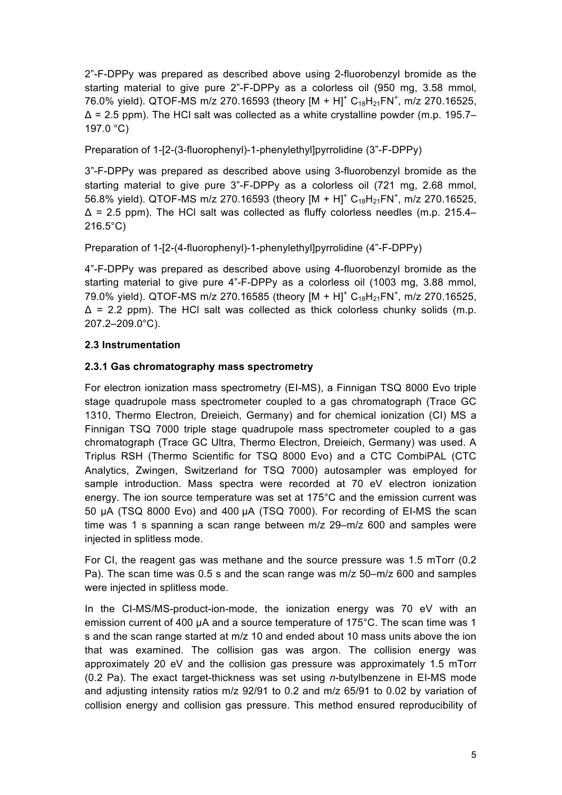2"-F-DPPy was prepared as described above using 2-fluorobenzyl bromide as the starting material to give pure 2"-F-DPPy as a colorless oil (950 mg, 3.58 mmol, 76.0% yield). QTOF-MS m/z 270.16593 (theory  $[M + H]^+ C_{18}H_{21}FN^+$ , m/z 270.16525,  $\Delta$  = 2.5 ppm). The HCl salt was collected as a white crystalline powder (m.p. 195.7– 197.0 °C)

Preparation of 1-[2-(3-fluorophenyl)-1-phenylethyl]pyrrolidine (3"-F-DPPy)

3"-F-DPPy was prepared as described above using 3-fluorobenzyl bromide as the starting material to give pure 3"-F-DPPy as a colorless oil (721 mg, 2.68 mmol, 56.8% yield). QTOF-MS m/z 270.16593 (theory  $[M + H]^+ C_{18}H_{21}FN^+$ , m/z 270.16525,  $\Delta$  = 2.5 ppm). The HCl salt was collected as fluffy colorless needles (m.p. 215.4– 216.5°C)

Preparation of 1-[2-(4-fluorophenyl)-1-phenylethyl]pyrrolidine (4"-F-DPPy)

4"-F-DPPy was prepared as described above using 4-fluorobenzyl bromide as the starting material to give pure 4"-F-DPPy as a colorless oil (1003 mg, 3.88 mmol, 79.0% yield). QTOF-MS m/z 270.16585 (theory  $[M + H]^+ C_{18}H_{21}FN^+$ , m/z 270.16525,  $\Delta$  = 2.2 ppm). The HCl salt was collected as thick colorless chunky solids (m.p. 207.2–209.0°C).

#### **2.3 Instrumentation**

#### **2.3.1 Gas chromatography mass spectrometry**

For electron ionization mass spectrometry (EI-MS), a Finnigan TSQ 8000 Evo triple stage quadrupole mass spectrometer coupled to a gas chromatograph (Trace GC 1310, Thermo Electron, Dreieich, Germany) and for chemical ionization (CI) MS a Finnigan TSQ 7000 triple stage quadrupole mass spectrometer coupled to a gas chromatograph (Trace GC Ultra, Thermo Electron, Dreieich, Germany) was used. A Triplus RSH (Thermo Scientific for TSQ 8000 Evo) and a CTC CombiPAL (CTC Analytics, Zwingen, Switzerland for TSQ 7000) autosampler was employed for sample introduction. Mass spectra were recorded at 70 eV electron ionization energy. The ion source temperature was set at 175°C and the emission current was 50 µA (TSQ 8000 Evo) and 400 µA (TSQ 7000). For recording of EI-MS the scan time was 1 s spanning a scan range between m/z 29–m/z 600 and samples were injected in splitless mode.

For CI, the reagent gas was methane and the source pressure was 1.5 mTorr (0.2 Pa). The scan time was 0.5 s and the scan range was m/z 50–m/z 600 and samples were injected in splitless mode.

In the CI-MS/MS-product-ion-mode, the ionization energy was 70 eV with an emission current of 400 µA and a source temperature of 175°C. The scan time was 1 s and the scan range started at m/z 10 and ended about 10 mass units above the ion that was examined. The collision gas was argon. The collision energy was approximately 20 eV and the collision gas pressure was approximately 1.5 mTorr (0.2 Pa). The exact target-thickness was set using *n*-butylbenzene in EI-MS mode and adjusting intensity ratios m/z 92/91 to 0.2 and m/z 65/91 to 0.02 by variation of collision energy and collision gas pressure. This method ensured reproducibility of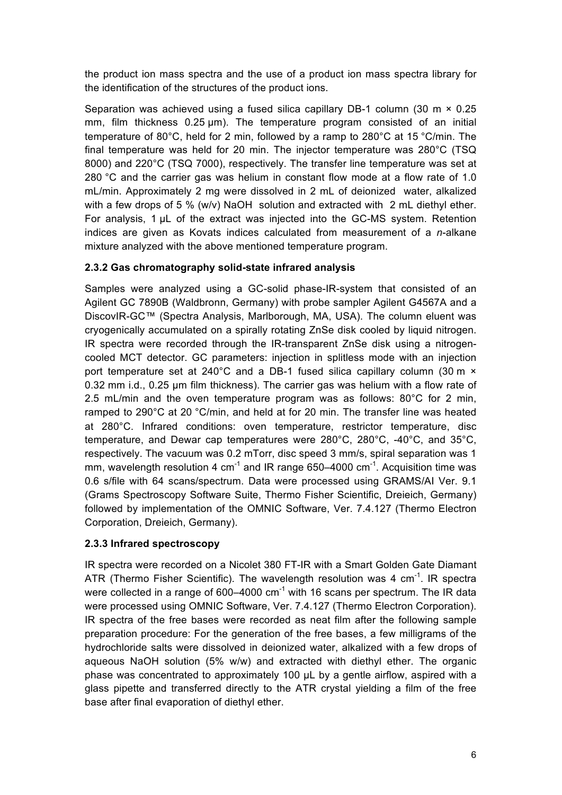the product ion mass spectra and the use of a product ion mass spectra library for the identification of the structures of the product ions.

Separation was achieved using a fused silica capillary DB-1 column (30 m  $\times$  0.25 mm, film thickness 0.25 um). The temperature program consisted of an initial temperature of 80°C, held for 2 min, followed by a ramp to 280°C at 15 °C/min. The final temperature was held for 20 min. The injector temperature was 280°C (TSQ 8000) and 220°C (TSQ 7000), respectively. The transfer line temperature was set at 280 °C and the carrier gas was helium in constant flow mode at a flow rate of 1.0 mL/min. Approximately 2 mg were dissolved in 2 mL of deionized water, alkalized with a few drops of 5 % (w/v) NaOH solution and extracted with 2 mL diethyl ether. For analysis, 1 µL of the extract was injected into the GC-MS system. Retention indices are given as Kovats indices calculated from measurement of a *n*-alkane mixture analyzed with the above mentioned temperature program.

#### **2.3.2 Gas chromatography solid-state infrared analysis**

Samples were analyzed using a GC-solid phase-IR-system that consisted of an Agilent GC 7890B (Waldbronn, Germany) with probe sampler Agilent G4567A and a DiscovIR-GC™ (Spectra Analysis, Marlborough, MA, USA). The column eluent was cryogenically accumulated on a spirally rotating ZnSe disk cooled by liquid nitrogen. IR spectra were recorded through the IR-transparent ZnSe disk using a nitrogencooled MCT detector. GC parameters: injection in splitless mode with an injection port temperature set at 240°C and a DB-1 fused silica capillary column (30 m × 0.32 mm i.d., 0.25 µm film thickness). The carrier gas was helium with a flow rate of 2.5 mL/min and the oven temperature program was as follows:  $80^{\circ}$ C for 2 min, ramped to 290°C at 20 °C/min, and held at for 20 min. The transfer line was heated at 280°C. Infrared conditions: oven temperature, restrictor temperature, disc temperature, and Dewar cap temperatures were 280°C, 280°C, -40°C, and 35°C, respectively. The vacuum was 0.2 mTorr, disc speed 3 mm/s, spiral separation was 1 mm, wavelength resolution 4  $cm^{-1}$  and IR range 650–4000  $cm^{-1}$ . Acquisition time was 0.6 s/file with 64 scans/spectrum. Data were processed using GRAMS/AI Ver. 9.1 (Grams Spectroscopy Software Suite, Thermo Fisher Scientific, Dreieich, Germany) followed by implementation of the OMNIC Software, Ver. 7.4.127 (Thermo Electron Corporation, Dreieich, Germany).

### **2.3.3 Infrared spectroscopy**

IR spectra were recorded on a Nicolet 380 FT-IR with a Smart Golden Gate Diamant ATR (Thermo Fisher Scientific). The wavelength resolution was 4  $cm^{-1}$ . IR spectra were collected in a range of 600–4000  $cm^{-1}$  with 16 scans per spectrum. The IR data were processed using OMNIC Software, Ver. 7.4.127 (Thermo Electron Corporation). IR spectra of the free bases were recorded as neat film after the following sample preparation procedure: For the generation of the free bases, a few milligrams of the hydrochloride salts were dissolved in deionized water, alkalized with a few drops of aqueous NaOH solution (5% w/w) and extracted with diethyl ether. The organic phase was concentrated to approximately 100 µL by a gentle airflow, aspired with a glass pipette and transferred directly to the ATR crystal yielding a film of the free base after final evaporation of diethyl ether.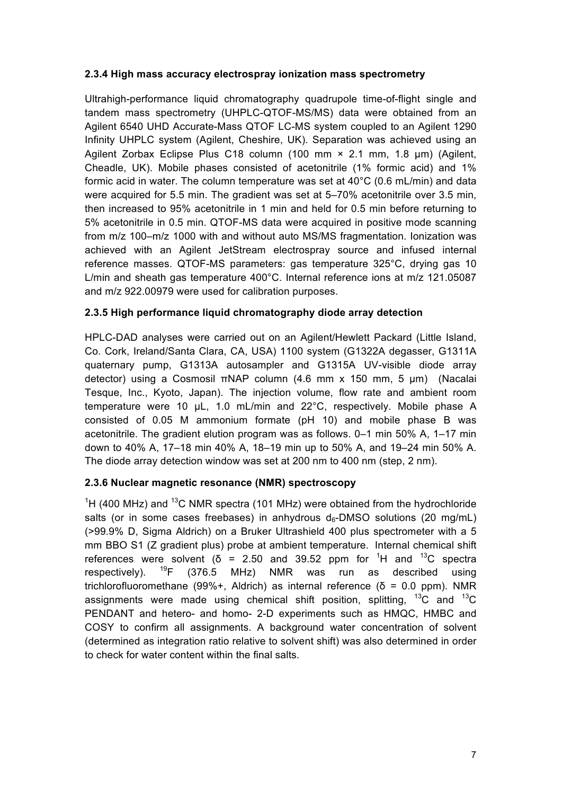#### **2.3.4 High mass accuracy electrospray ionization mass spectrometry**

Ultrahigh-performance liquid chromatography quadrupole time-of-flight single and tandem mass spectrometry (UHPLC-QTOF-MS/MS) data were obtained from an Agilent 6540 UHD Accurate-Mass QTOF LC-MS system coupled to an Agilent 1290 Infinity UHPLC system (Agilent, Cheshire, UK). Separation was achieved using an Agilent Zorbax Eclipse Plus C18 column (100 mm × 2.1 mm, 1.8 um) (Agilent, Cheadle, UK). Mobile phases consisted of acetonitrile (1% formic acid) and 1% formic acid in water. The column temperature was set at 40°C (0.6 mL/min) and data were acquired for 5.5 min. The gradient was set at 5–70% acetonitrile over 3.5 min, then increased to 95% acetonitrile in 1 min and held for 0.5 min before returning to 5% acetonitrile in 0.5 min. QTOF-MS data were acquired in positive mode scanning from m/z 100–m/z 1000 with and without auto MS/MS fragmentation. Ionization was achieved with an Agilent JetStream electrospray source and infused internal reference masses. QTOF-MS parameters: gas temperature 325°C, drying gas 10 L/min and sheath gas temperature 400°C. Internal reference ions at m/z 121.05087 and m/z 922.00979 were used for calibration purposes.

#### **2.3.5 High performance liquid chromatography diode array detection**

HPLC-DAD analyses were carried out on an Agilent/Hewlett Packard (Little Island, Co. Cork, Ireland/Santa Clara, CA, USA) 1100 system (G1322A degasser, G1311A quaternary pump, G1313A autosampler and G1315A UV-visible diode array detector) using a Cosmosil πNAP column (4.6 mm x 150 mm, 5 μm) (Nacalai Tesque, Inc., Kyoto, Japan). The injection volume, flow rate and ambient room temperature were 10 µL, 1.0 mL/min and 22°C, respectively. Mobile phase A consisted of 0.05 M ammonium formate (pH 10) and mobile phase B was acetonitrile. The gradient elution program was as follows. 0–1 min 50% A, 1–17 min down to 40% A, 17–18 min 40% A, 18–19 min up to 50% A, and 19–24 min 50% A. The diode array detection window was set at 200 nm to 400 nm (step, 2 nm).

#### **2.3.6 Nuclear magnetic resonance (NMR) spectroscopy**

<sup>1</sup>H (400 MHz) and <sup>13</sup>C NMR spectra (101 MHz) were obtained from the hydrochloride salts (or in some cases freebases) in anhydrous  $d_6$ -DMSO solutions (20 mg/mL) (>99.9% D, Sigma Aldrich) on a Bruker Ultrashield 400 plus spectrometer with a 5 mm BBO S1 (Z gradient plus) probe at ambient temperature. Internal chemical shift references were solvent ( $\delta$  = 2.50 and 39.52 ppm for <sup>1</sup>H and <sup>13</sup>C spectra respectively).  $^{19}F$  (376.5 MHz) NMR was run as described using trichlorofluoromethane (99%+, Aldrich) as internal reference (δ = 0.0 ppm). NMR assignments were made using chemical shift position, splitting,  ${}^{13}C$  and  ${}^{13}C$ PENDANT and hetero- and homo- 2-D experiments such as HMQC, HMBC and COSY to confirm all assignments. A background water concentration of solvent (determined as integration ratio relative to solvent shift) was also determined in order to check for water content within the final salts.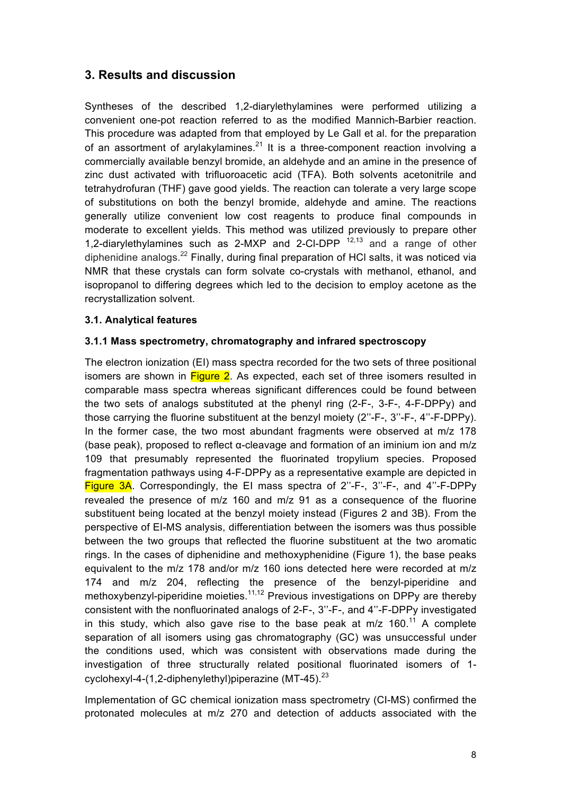# **3. Results and discussion**

Syntheses of the described 1,2-diarylethylamines were performed utilizing a convenient one-pot reaction referred to as the modified Mannich-Barbier reaction. This procedure was adapted from that employed by Le Gall et al. for the preparation of an assortment of arylakylamines. $^{21}$  It is a three-component reaction involving a commercially available benzyl bromide, an aldehyde and an amine in the presence of zinc dust activated with trifluoroacetic acid (TFA). Both solvents acetonitrile and tetrahydrofuran (THF) gave good yields. The reaction can tolerate a very large scope of substitutions on both the benzyl bromide, aldehyde and amine. The reactions generally utilize convenient low cost reagents to produce final compounds in moderate to excellent yields. This method was utilized previously to prepare other 1,2-diarylethylamines such as 2-MXP and 2-Cl-DPP 12,13 and a range of other diphenidine analogs.<sup>22</sup> Finally, during final preparation of HCI salts, it was noticed via NMR that these crystals can form solvate co-crystals with methanol, ethanol, and isopropanol to differing degrees which led to the decision to employ acetone as the recrystallization solvent.

#### **3.1. Analytical features**

#### **3.1.1 Mass spectrometry, chromatography and infrared spectroscopy**

The electron ionization (EI) mass spectra recorded for the two sets of three positional isomers are shown in Figure 2. As expected, each set of three isomers resulted in comparable mass spectra whereas significant differences could be found between the two sets of analogs substituted at the phenyl ring (2-F-, 3-F-, 4-F-DPPy) and those carrying the fluorine substituent at the benzyl moiety (2''-F-, 3''-F-, 4''-F-DPPy). In the former case, the two most abundant fragments were observed at m/z 178 (base peak), proposed to reflect α-cleavage and formation of an iminium ion and m/z 109 that presumably represented the fluorinated tropylium species. Proposed fragmentation pathways using 4-F-DPPy as a representative example are depicted in Figure 3A. Correspondingly, the EI mass spectra of 2''-F-, 3''-F-, and 4''-F-DPPy revealed the presence of m/z 160 and m/z 91 as a consequence of the fluorine substituent being located at the benzyl moiety instead (Figures 2 and 3B). From the perspective of EI-MS analysis, differentiation between the isomers was thus possible between the two groups that reflected the fluorine substituent at the two aromatic rings. In the cases of diphenidine and methoxyphenidine (Figure 1), the base peaks equivalent to the m/z 178 and/or m/z 160 ions detected here were recorded at m/z 174 and m/z 204, reflecting the presence of the benzyl-piperidine and methoxybenzyl-piperidine moieties.<sup>11,12</sup> Previous investigations on DPPy are thereby consistent with the nonfluorinated analogs of 2-F-, 3''-F-, and 4''-F-DPPy investigated in this study, which also gave rise to the base peak at m/z  $160$ .<sup>11</sup> A complete separation of all isomers using gas chromatography (GC) was unsuccessful under the conditions used, which was consistent with observations made during the investigation of three structurally related positional fluorinated isomers of 1 cyclohexyl-4-(1,2-diphenylethyl)piperazine  $(MT-45)$ .<sup>23</sup>

Implementation of GC chemical ionization mass spectrometry (CI-MS) confirmed the protonated molecules at m/z 270 and detection of adducts associated with the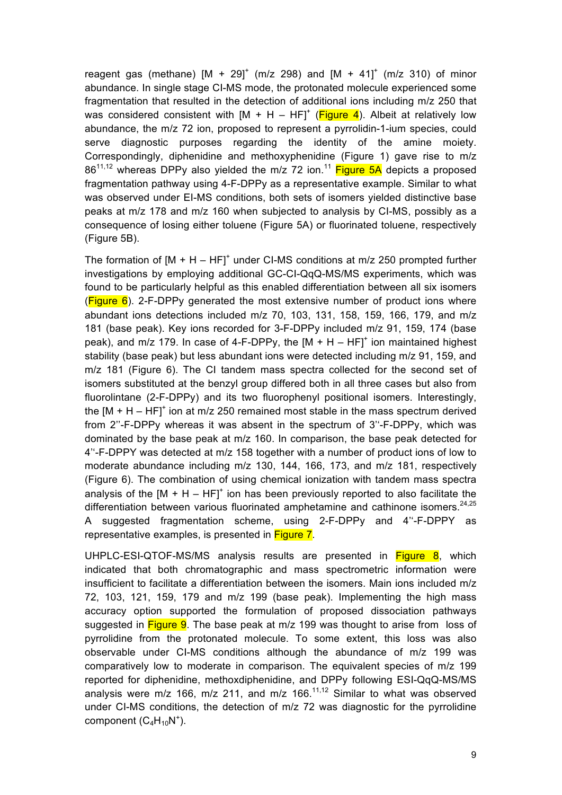reagent gas (methane)  $[M + 29]^+$  (m/z 298) and  $[M + 41]^+$  (m/z 310) of minor abundance. In single stage CI-MS mode, the protonated molecule experienced some fragmentation that resulted in the detection of additional ions including m/z 250 that was considered consistent with  $[M + H - HF]^+$  (Figure 4). Albeit at relatively low abundance, the m/z 72 ion, proposed to represent a pyrrolidin-1-ium species, could serve diagnostic purposes regarding the identity of the amine moiety. Correspondingly, diphenidine and methoxyphenidine (Figure 1) gave rise to m/z  $86^{11,12}$  whereas DPPy also yielded the m/z 72 ion.<sup>11</sup> Figure 5A depicts a proposed fragmentation pathway using 4-F-DPPy as a representative example. Similar to what was observed under EI-MS conditions, both sets of isomers yielded distinctive base peaks at m/z 178 and m/z 160 when subjected to analysis by CI-MS, possibly as a consequence of losing either toluene (Figure 5A) or fluorinated toluene, respectively (Figure 5B).

The formation of  $[M + H - HF]^+$  under CI-MS conditions at m/z 250 prompted further investigations by employing additional GC-CI-QqQ-MS/MS experiments, which was found to be particularly helpful as this enabled differentiation between all six isomers  $(Figure 6)$ . 2-F-DPPy generated the most extensive number of product ions where abundant ions detections included m/z 70, 103, 131, 158, 159, 166, 179, and m/z 181 (base peak). Key ions recorded for 3-F-DPPy included m/z 91, 159, 174 (base peak), and m/z 179. In case of 4-F-DPPy, the  $[M + H - HFI^+$  ion maintained highest stability (base peak) but less abundant ions were detected including m/z 91, 159, and m/z 181 (Figure 6). The CI tandem mass spectra collected for the second set of isomers substituted at the benzyl group differed both in all three cases but also from fluorolintane (2-F-DPPy) and its two fluorophenyl positional isomers. Interestingly, the  $IM + H - HFI'$  ion at m/z 250 remained most stable in the mass spectrum derived from 2''-F-DPPy whereas it was absent in the spectrum of 3''-F-DPPy, which was dominated by the base peak at m/z 160. In comparison, the base peak detected for 4''-F-DPPY was detected at m/z 158 together with a number of product ions of low to moderate abundance including m/z 130, 144, 166, 173, and m/z 181, respectively (Figure 6). The combination of using chemical ionization with tandem mass spectra analysis of the  $[M + H - HF]^+$  ion has been previously reported to also facilitate the differentiation between various fluorinated amphetamine and cathinone isomers. $24,25$ A suggested fragmentation scheme, using 2-F-DPPy and 4''-F-DPPY as representative examples, is presented in Figure 7.

UHPLC-ESI-QTOF-MS/MS analysis results are presented in Figure 8, which indicated that both chromatographic and mass spectrometric information were insufficient to facilitate a differentiation between the isomers. Main ions included m/z 72, 103, 121, 159, 179 and m/z 199 (base peak). Implementing the high mass accuracy option supported the formulation of proposed dissociation pathways suggested in Figure 9. The base peak at m/z 199 was thought to arise from loss of pyrrolidine from the protonated molecule. To some extent, this loss was also observable under CI-MS conditions although the abundance of m/z 199 was comparatively low to moderate in comparison. The equivalent species of m/z 199 reported for diphenidine, methoxdiphenidine, and DPPy following ESI-QqQ-MS/MS analysis were m/z 166, m/z 211, and m/z 166.<sup>11,12</sup> Similar to what was observed under CI-MS conditions, the detection of m/z 72 was diagnostic for the pyrrolidine component  $(C_4H_{10}N^+)$ .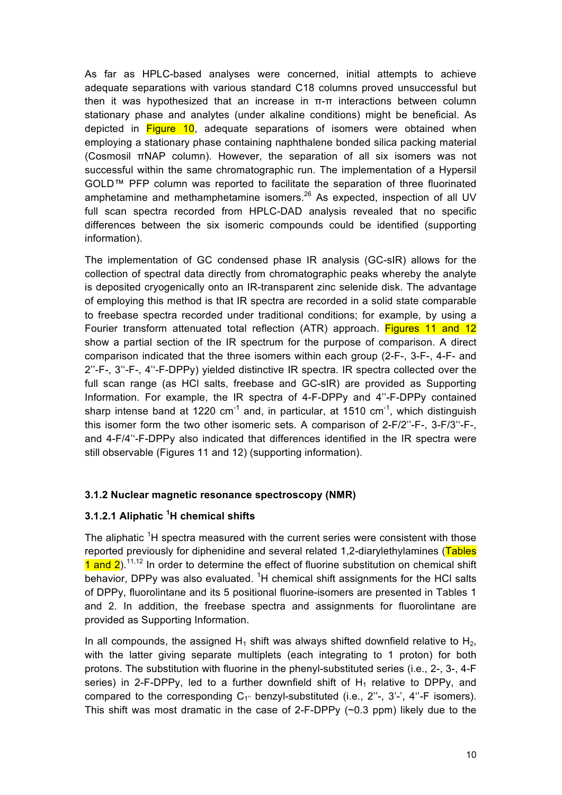As far as HPLC-based analyses were concerned, initial attempts to achieve adequate separations with various standard C18 columns proved unsuccessful but then it was hypothesized that an increase in π-π interactions between column stationary phase and analytes (under alkaline conditions) might be beneficial. As depicted in **Figure 10**, adequate separations of isomers were obtained when employing a stationary phase containing naphthalene bonded silica packing material (Cosmosil πNAP column). However, the separation of all six isomers was not successful within the same chromatographic run. The implementation of a Hypersil GOLD™ PFP column was reported to facilitate the separation of three fluorinated amphetamine and methamphetamine isomers.<sup>26</sup> As expected, inspection of all UV full scan spectra recorded from HPLC-DAD analysis revealed that no specific differences between the six isomeric compounds could be identified (supporting information).

The implementation of GC condensed phase IR analysis (GC-sIR) allows for the collection of spectral data directly from chromatographic peaks whereby the analyte is deposited cryogenically onto an IR-transparent zinc selenide disk. The advantage of employing this method is that IR spectra are recorded in a solid state comparable to freebase spectra recorded under traditional conditions; for example, by using a Fourier transform attenuated total reflection (ATR) approach. Figures 11 and 12 show a partial section of the IR spectrum for the purpose of comparison. A direct comparison indicated that the three isomers within each group (2-F-, 3-F-, 4-F- and 2''-F-, 3''-F-, 4''-F-DPPy) yielded distinctive IR spectra. IR spectra collected over the full scan range (as HCl salts, freebase and GC-sIR) are provided as Supporting Information. For example, the IR spectra of 4-F-DPPy and 4''-F-DPPy contained sharp intense band at 1220  $cm^{-1}$  and, in particular, at 1510  $cm^{-1}$ , which distinguish this isomer form the two other isomeric sets. A comparison of 2-F/2''-F-, 3-F/3''-F-, and 4-F/4''-F-DPPy also indicated that differences identified in the IR spectra were still observable (Figures 11 and 12) (supporting information).

#### **3.1.2 Nuclear magnetic resonance spectroscopy (NMR)**

#### **3.1.2.1 Aliphatic <sup>1</sup> H chemical shifts**

The aliphatic <sup>1</sup>H spectra measured with the current series were consistent with those reported previously for diphenidine and several related 1,2-diarylethylamines (Tables  $1$  and  $2$ ).<sup>11,12</sup> In order to determine the effect of fluorine substitution on chemical shift behavior, DPPy was also evaluated. <sup>1</sup>H chemical shift assignments for the HCI salts of DPPy, fluorolintane and its 5 positional fluorine-isomers are presented in Tables 1 and 2. In addition, the freebase spectra and assignments for fluorolintane are provided as Supporting Information.

In all compounds, the assigned  $H_1$  shift was always shifted downfield relative to  $H_2$ , with the latter giving separate multiplets (each integrating to 1 proton) for both protons. The substitution with fluorine in the phenyl-substituted series (i.e., 2-, 3-, 4-F series) in 2-F-DPPy, led to a further downfield shift of  $H_1$  relative to DPPy, and compared to the corresponding  $C_{1}$ " benzyl-substituted (i.e., 2"-, 3'-', 4"-F isomers). This shift was most dramatic in the case of 2-F-DPPy (~0.3 ppm) likely due to the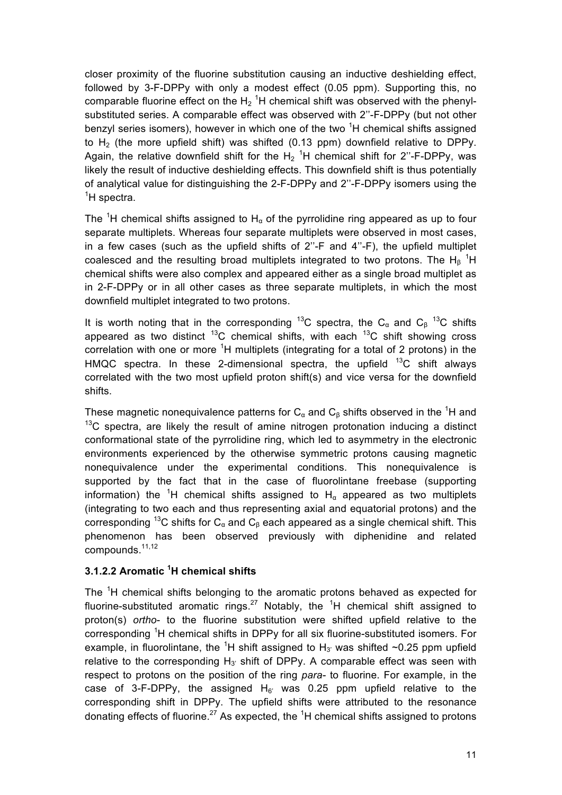closer proximity of the fluorine substitution causing an inductive deshielding effect, followed by 3-F-DPPy with only a modest effect (0.05 ppm). Supporting this, no comparable fluorine effect on the  $H_2$ <sup>1</sup>H chemical shift was observed with the phenylsubstituted series. A comparable effect was observed with 2''-F-DPPy (but not other benzyl series isomers), however in which one of the two <sup>1</sup>H chemical shifts assigned to  $H<sub>2</sub>$  (the more upfield shift) was shifted (0.13 ppm) downfield relative to DPPy. Again, the relative downfield shift for the  $H_2$ <sup>1</sup>H chemical shift for 2"-F-DPPy, was likely the result of inductive deshielding effects. This downfield shift is thus potentially of analytical value for distinguishing the 2-F-DPPy and 2''-F-DPPy isomers using the <sup>1</sup>H spectra.

The <sup>1</sup>H chemical shifts assigned to H<sub> $\alpha$ </sub> of the pyrrolidine ring appeared as up to four separate multiplets. Whereas four separate multiplets were observed in most cases, in a few cases (such as the upfield shifts of 2''-F and 4''-F), the upfield multiplet coalesced and the resulting broad multiplets integrated to two protons. The H<sub>β</sub><sup>1</sup>H chemical shifts were also complex and appeared either as a single broad multiplet as in 2-F-DPPy or in all other cases as three separate multiplets, in which the most downfield multiplet integrated to two protons.

It is worth noting that in the corresponding <sup>13</sup>C spectra, the C<sub>α</sub> and C<sub>β</sub><sup>13</sup>C shifts appeared as two distinct  $^{13}$ C chemical shifts, with each  $^{13}$ C shift showing cross correlation with one or more  ${}^{1}H$  multiplets (integrating for a total of 2 protons) in the HMQC spectra. In these 2-dimensional spectra, the upfield  $^{13}$ C shift always correlated with the two most upfield proton shift(s) and vice versa for the downfield shifts.

These magnetic nonequivalence patterns for  $C_{\alpha}$  and  $C_{\beta}$  shifts observed in the <sup>1</sup>H and  $13<sup>13</sup>C$  spectra, are likely the result of amine nitrogen protonation inducing a distinct conformational state of the pyrrolidine ring, which led to asymmetry in the electronic environments experienced by the otherwise symmetric protons causing magnetic nonequivalence under the experimental conditions. This nonequivalence is supported by the fact that in the case of fluorolintane freebase (supporting information) the <sup>1</sup>H chemical shifts assigned to H<sub>α</sub> appeared as two multiplets (integrating to two each and thus representing axial and equatorial protons) and the corresponding <sup>13</sup>C shifts for C<sub>α</sub> and C<sub>β</sub> each appeared as a single chemical shift. This phenomenon has been observed previously with diphenidine and related compounds.<sup>11,12</sup>

#### **3.1.2.2 Aromatic <sup>1</sup> H chemical shifts**

The <sup>1</sup>H chemical shifts belonging to the aromatic protons behaved as expected for fluorine-substituted aromatic rings.<sup>27</sup> Notably, the <sup>1</sup>H chemical shift assigned to proton(s) *ortho*- to the fluorine substitution were shifted upfield relative to the corresponding <sup>1</sup>H chemical shifts in DPPy for all six fluorine-substituted isomers. For example, in fluorolintane, the <sup>1</sup>H shift assigned to H<sub>3'</sub> was shifted ~0.25 ppm upfield relative to the corresponding  $H_{3'}$  shift of DPPy. A comparable effect was seen with respect to protons on the position of the ring *para-* to fluorine. For example, in the case of 3-F-DPPy, the assigned  $H_6$ ' was 0.25 ppm upfield relative to the corresponding shift in DPPy. The upfield shifts were attributed to the resonance donating effects of fluorine.<sup>27</sup> As expected, the <sup>1</sup>H chemical shifts assigned to protons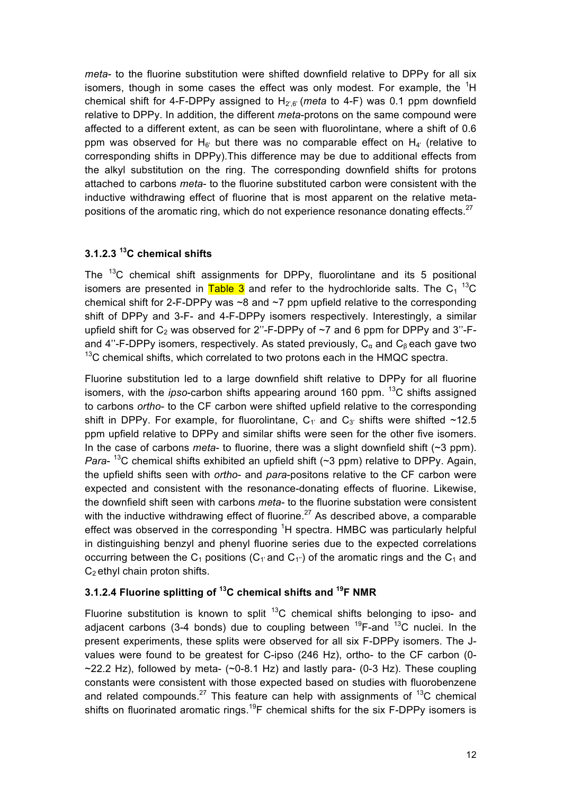*meta*- to the fluorine substitution were shifted downfield relative to DPPy for all six isomers, though in some cases the effect was only modest. For example, the  ${}^{1}H$ chemical shift for 4-F-DPPy assigned to  $H_{2,6}$  (*meta* to 4-F) was 0.1 ppm downfield relative to DPPy. In addition, the different *meta*-protons on the same compound were affected to a different extent, as can be seen with fluorolintane, where a shift of 0.6 ppm was observed for H<sub>6</sub>' but there was no comparable effect on H<sub>4</sub>' (relative to corresponding shifts in DPPy).This difference may be due to additional effects from the alkyl substitution on the ring. The corresponding downfield shifts for protons attached to carbons *meta*- to the fluorine substituted carbon were consistent with the inductive withdrawing effect of fluorine that is most apparent on the relative metapositions of the aromatic ring, which do not experience resonance donating effects.<sup>27</sup>

### **3.1.2.3 <sup>13</sup> C chemical shifts**

The <sup>13</sup>C chemical shift assignments for DPPy, fluorolintane and its 5 positional isomers are presented in  $\overline{\text{Table 3}}$  and refer to the hydrochloride salts. The C<sub>1</sub><sup>13</sup>C chemical shift for 2-F-DPPy was  $\sim$ 8 and  $\sim$ 7 ppm upfield relative to the corresponding shift of DPPy and 3-F- and 4-F-DPPy isomers respectively. Interestingly, a similar upfield shift for  $C_2$  was observed for 2"-F-DPPy of  $\sim$ 7 and 6 ppm for DPPy and 3"-Fand 4"-F-DPPy isomers, respectively. As stated previously,  $C_{\alpha}$  and  $C_{\beta}$  each gave two  $13^{\circ}$ C chemical shifts, which correlated to two protons each in the HMQC spectra.

Fluorine substitution led to a large downfield shift relative to DPPy for all fluorine isomers, with the *ipso*-carbon shifts appearing around 160 ppm. <sup>13</sup>C shifts assigned to carbons *ortho*- to the CF carbon were shifted upfield relative to the corresponding shift in DPPy. For example, for fluorolintane,  $C_1$  and  $C_3$  shifts were shifted ~12.5 ppm upfield relative to DPPy and similar shifts were seen for the other five isomers. In the case of carbons *meta*- to fluorine, there was a slight downfield shift (~3 ppm). *Para*-<sup>13</sup>C chemical shifts exhibited an upfield shift (~3 ppm) relative to DPPy. Again, the upfield shifts seen with *ortho*- and *para*-positons relative to the CF carbon were expected and consistent with the resonance-donating effects of fluorine. Likewise, the downfield shift seen with carbons *meta*- to the fluorine substation were consistent with the inductive withdrawing effect of fluorine.<sup>27</sup> As described above, a comparable effect was observed in the corresponding <sup>1</sup>H spectra. HMBC was particularly helpful in distinguishing benzyl and phenyl fluorine series due to the expected correlations occurring between the  $C_1$  positions ( $C_1$  and  $C_1$ ) of the aromatic rings and the  $C_1$  and  $C_2$  ethyl chain proton shifts.

### **3.1.2.4 Fluorine splitting of 13C chemical shifts and 19F NMR**

Fluorine substitution is known to split  $^{13}$ C chemical shifts belonging to ipso- and adjacent carbons (3-4 bonds) due to coupling between  $^{19}$ F-and  $^{13}$ C nuclei. In the present experiments, these splits were observed for all six F-DPPy isomers. The Jvalues were found to be greatest for C-ipso (246 Hz), ortho- to the CF carbon (0-  $\sim$ 22.2 Hz), followed by meta- ( $\sim$ 0-8.1 Hz) and lastly para- (0-3 Hz). These coupling constants were consistent with those expected based on studies with fluorobenzene and related compounds.<sup>27</sup> This feature can help with assignments of  $^{13}C$  chemical shifts on fluorinated aromatic rings.<sup>19</sup>F chemical shifts for the six F-DPPy isomers is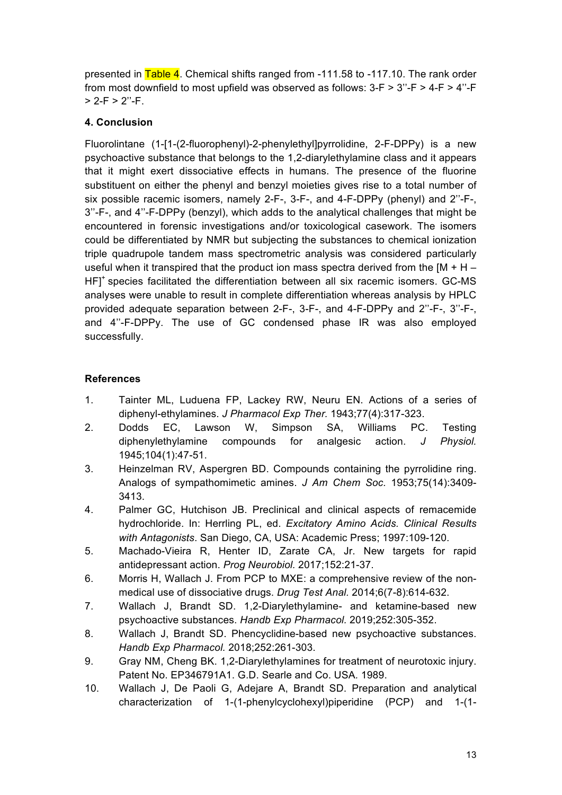presented in Table 4. Chemical shifts ranged from -111.58 to -117.10. The rank order from most downfield to most upfield was observed as follows:  $3-F > 3$ "-F >  $4-F > 4$ "-F  $> 2-F > 2"$ -F

### **4. Conclusion**

Fluorolintane (1-[1-(2-fluorophenyl)-2-phenylethyl]pyrrolidine, 2-F-DPPy) is a new psychoactive substance that belongs to the 1,2-diarylethylamine class and it appears that it might exert dissociative effects in humans. The presence of the fluorine substituent on either the phenyl and benzyl moieties gives rise to a total number of six possible racemic isomers, namely 2-F-, 3-F-, and 4-F-DPPy (phenyl) and 2''-F-, 3''-F-, and 4''-F-DPPy (benzyl), which adds to the analytical challenges that might be encountered in forensic investigations and/or toxicological casework. The isomers could be differentiated by NMR but subjecting the substances to chemical ionization triple quadrupole tandem mass spectrometric analysis was considered particularly useful when it transpired that the product ion mass spectra derived from the  $[M + H -$ HF]<sup>+</sup> species facilitated the differentiation between all six racemic isomers. GC-MS analyses were unable to result in complete differentiation whereas analysis by HPLC provided adequate separation between 2-F-, 3-F-, and 4-F-DPPy and 2''-F-, 3''-F-, and 4''-F-DPPy. The use of GC condensed phase IR was also employed successfully.

#### **References**

- 1. Tainter ML, Luduena FP, Lackey RW, Neuru EN. Actions of a series of diphenyl-ethylamines. *J Pharmacol Exp Ther.* 1943;77(4):317-323.
- 2. Dodds EC, Lawson W, Simpson SA, Williams PC. Testing diphenylethylamine compounds for analgesic action. *J Physiol.*  1945;104(1):47-51.
- 3. Heinzelman RV, Aspergren BD. Compounds containing the pyrrolidine ring. Analogs of sympathomimetic amines. *J Am Chem Soc.* 1953;75(14):3409- 3413.
- 4. Palmer GC, Hutchison JB. Preclinical and clinical aspects of remacemide hydrochloride. In: Herrling PL, ed. *Excitatory Amino Acids. Clinical Results with Antagonists*. San Diego, CA, USA: Academic Press; 1997:109-120.
- 5. Machado-Vieira R, Henter ID, Zarate CA, Jr. New targets for rapid antidepressant action. *Prog Neurobiol.* 2017;152:21-37.
- 6. Morris H, Wallach J. From PCP to MXE: a comprehensive review of the nonmedical use of dissociative drugs. *Drug Test Anal.* 2014;6(7-8):614-632.
- 7. Wallach J, Brandt SD. 1,2-Diarylethylamine- and ketamine-based new psychoactive substances. *Handb Exp Pharmacol.* 2019;252:305-352.
- 8. Wallach J, Brandt SD. Phencyclidine-based new psychoactive substances. *Handb Exp Pharmacol.* 2018;252:261-303.
- 9. Gray NM, Cheng BK. 1,2-Diarylethylamines for treatment of neurotoxic injury. Patent No. EP346791A1. G.D. Searle and Co. USA*.* 1989.
- 10. Wallach J, De Paoli G, Adejare A, Brandt SD. Preparation and analytical characterization of 1-(1-phenylcyclohexyl)piperidine (PCP) and 1-(1-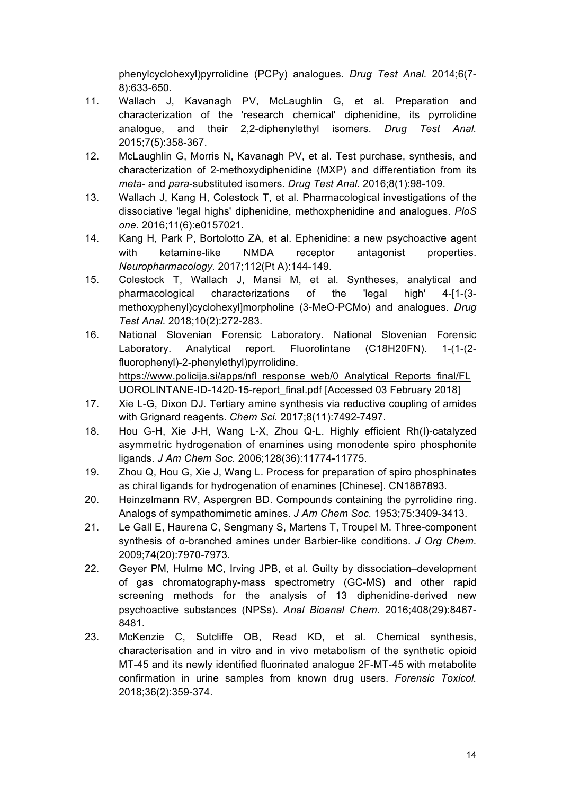phenylcyclohexyl)pyrrolidine (PCPy) analogues. *Drug Test Anal.* 2014;6(7- 8):633-650.

- 11. Wallach J, Kavanagh PV, McLaughlin G, et al. Preparation and characterization of the 'research chemical' diphenidine, its pyrrolidine analogue, and their 2,2-diphenylethyl isomers. *Drug Test Anal.*  2015;7(5):358-367.
- 12. McLaughlin G, Morris N, Kavanagh PV, et al. Test purchase, synthesis, and characterization of 2-methoxydiphenidine (MXP) and differentiation from its *meta*- and *para*-substituted isomers. *Drug Test Anal.* 2016;8(1):98-109.
- 13. Wallach J, Kang H, Colestock T, et al. Pharmacological investigations of the dissociative 'legal highs' diphenidine, methoxphenidine and analogues. *PloS one.* 2016;11(6):e0157021.
- 14. Kang H, Park P, Bortolotto ZA, et al. Ephenidine: a new psychoactive agent with ketamine-like NMDA receptor antagonist properties. *Neuropharmacology.* 2017;112(Pt A):144-149.
- 15. Colestock T, Wallach J, Mansi M, et al. Syntheses, analytical and pharmacological characterizations of the 'legal high' 4-[1-(3 methoxyphenyl)cyclohexyl]morpholine (3-MeO-PCMo) and analogues. *Drug Test Anal.* 2018;10(2):272-283.
- 16. National Slovenian Forensic Laboratory. National Slovenian Forensic Laboratory. Analytical report. Fluorolintane (C18H20FN). 1-(1-(2 fluorophenyl)-2-phenylethyl)pyrrolidine. https://www.policija.si/apps/nfl\_response\_web/0\_Analytical\_Reports\_final/FL UOROLINTANE-ID-1420-15-report\_final.pdf [Accessed 03 February 2018]
- 17. Xie L-G, Dixon DJ. Tertiary amine synthesis via reductive coupling of amides with Grignard reagents. *Chem Sci.* 2017;8(11):7492-7497.
- 18. Hou G-H, Xie J-H, Wang L-X, Zhou Q-L. Highly efficient Rh(I)-catalyzed asymmetric hydrogenation of enamines using monodente spiro phosphonite ligands. *J Am Chem Soc.* 2006;128(36):11774-11775.
- 19. Zhou Q, Hou G, Xie J, Wang L. Process for preparation of spiro phosphinates as chiral ligands for hydrogenation of enamines [Chinese]. CN1887893*.*
- 20. Heinzelmann RV, Aspergren BD. Compounds containing the pyrrolidine ring. Analogs of sympathomimetic amines. *J Am Chem Soc.* 1953;75:3409-3413.
- 21. Le Gall E, Haurena C, Sengmany S, Martens T, Troupel M. Three-component synthesis of α-branched amines under Barbier-like conditions. *J Org Chem.*  2009;74(20):7970-7973.
- 22. Geyer PM, Hulme MC, Irving JPB, et al. Guilty by dissociation–development of gas chromatography-mass spectrometry (GC-MS) and other rapid screening methods for the analysis of 13 diphenidine-derived new psychoactive substances (NPSs). *Anal Bioanal Chem.* 2016;408(29):8467- 8481.
- 23. McKenzie C, Sutcliffe OB, Read KD, et al. Chemical synthesis, characterisation and in vitro and in vivo metabolism of the synthetic opioid MT-45 and its newly identified fluorinated analogue 2F-MT-45 with metabolite confirmation in urine samples from known drug users. *Forensic Toxicol.*  2018;36(2):359-374.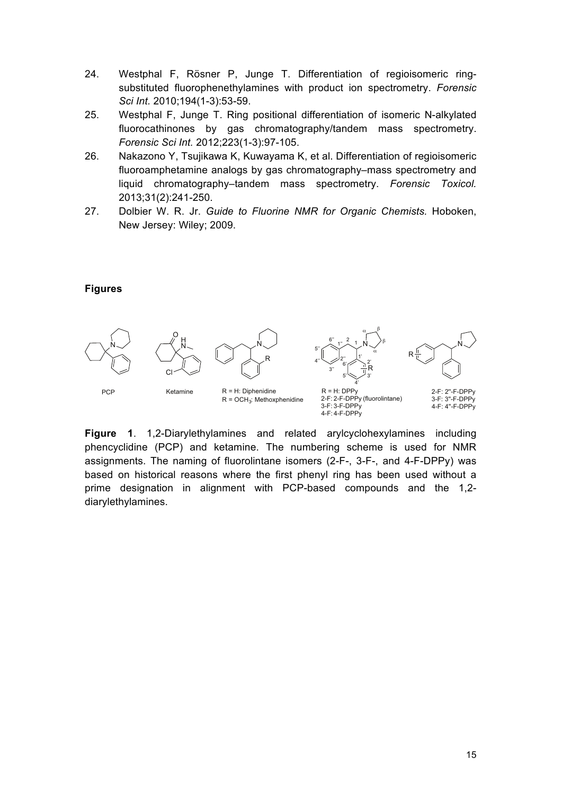- 24. Westphal F, Rösner P, Junge T. Differentiation of regioisomeric ringsubstituted fluorophenethylamines with product ion spectrometry. *Forensic Sci Int.* 2010;194(1-3):53-59.
- 25. Westphal F, Junge T. Ring positional differentiation of isomeric N-alkylated fluorocathinones by gas chromatography/tandem mass spectrometry. *Forensic Sci Int.* 2012;223(1-3):97-105.
- 26. Nakazono Y, Tsujikawa K, Kuwayama K, et al. Differentiation of regioisomeric fluoroamphetamine analogs by gas chromatography–mass spectrometry and liquid chromatography–tandem mass spectrometry. *Forensic Toxicol.*  2013;31(2):241-250.
- 27. Dolbier W. R. Jr. *Guide to Fluorine NMR for Organic Chemists.* Hoboken, New Jersey: Wiley; 2009.

#### **Figures**



**Figure 1**. 1,2-Diarylethylamines and related arylcyclohexylamines including phencyclidine (PCP) and ketamine. The numbering scheme is used for NMR assignments. The naming of fluorolintane isomers (2-F-, 3-F-, and 4-F-DPPy) was based on historical reasons where the first phenyl ring has been used without a prime designation in alignment with PCP-based compounds and the 1,2 diarylethylamines.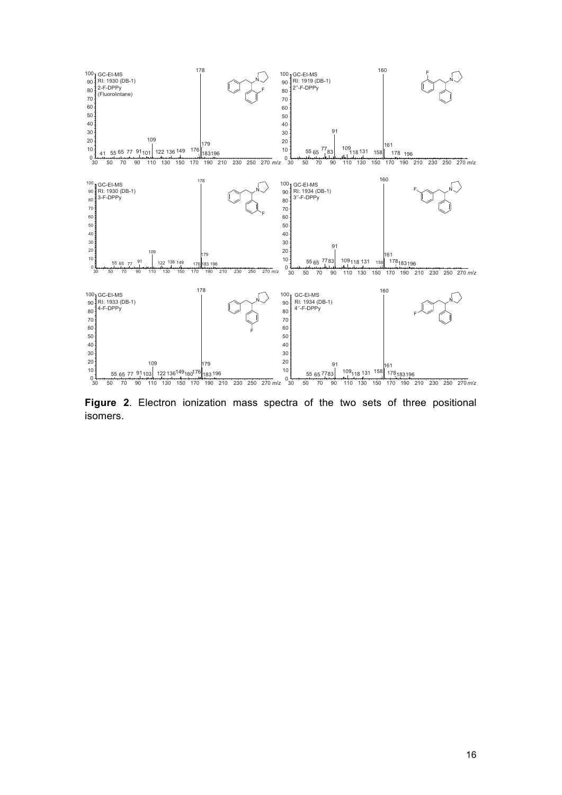

**Figure 2**. Electron ionization mass spectra of the two sets of three positional isomers.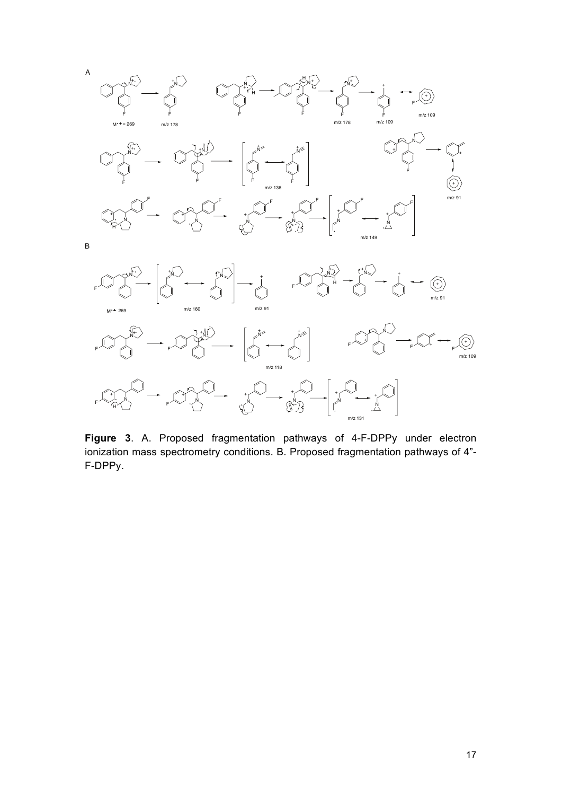

**Figure 3**. A. Proposed fragmentation pathways of 4-F-DPPy under electron ionization mass spectrometry conditions. B. Proposed fragmentation pathways of 4"- F-DPPy.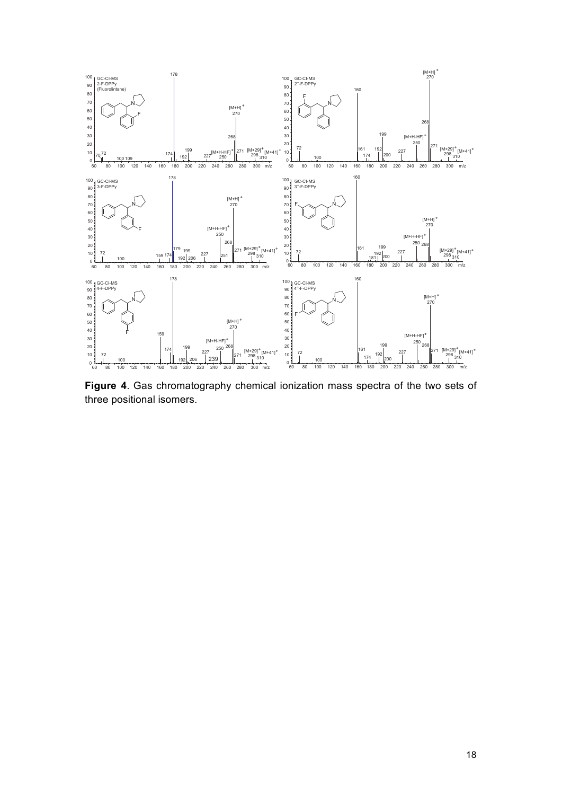

**Figure 4**. Gas chromatography chemical ionization mass spectra of the two sets of three positional isomers.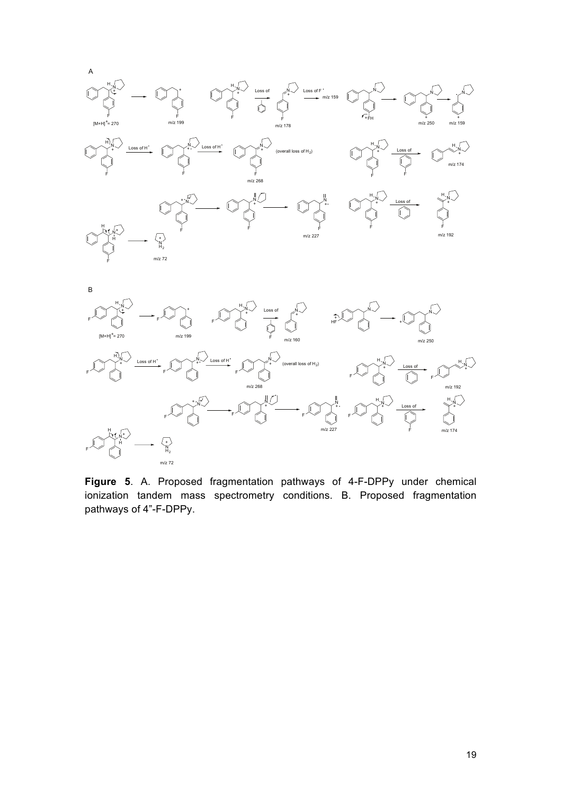



m/z 268

**Figure 5**. A. Proposed fragmentation pathways of 4-F-DPPy under chemical ionization tandem mass spectrometry conditions. B. Proposed fragmentation pathways of 4"-F-DPPy.

m/z 192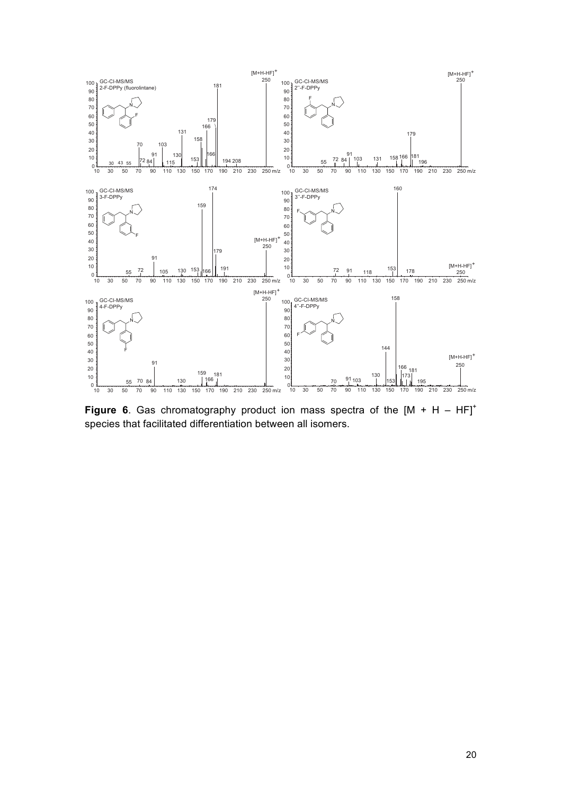

**Figure 6**. Gas chromatography product ion mass spectra of the  $[M + H - HF]^+$ species that facilitated differentiation between all isomers.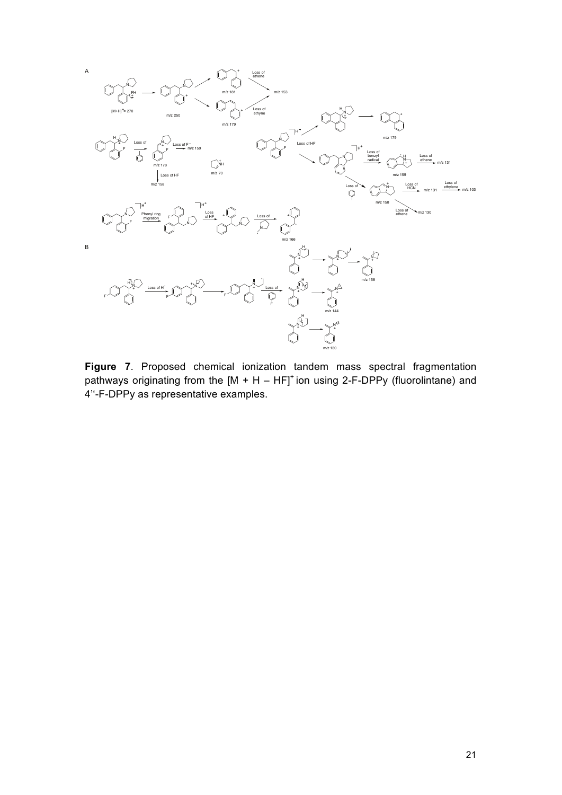

**Figure 7**. Proposed chemical ionization tandem mass spectral fragmentation pathways originating from the  $[M + H - HF]$ <sup>+</sup> ion using 2-F-DPPy (fluorolintane) and 4''-F-DPPy as representative examples.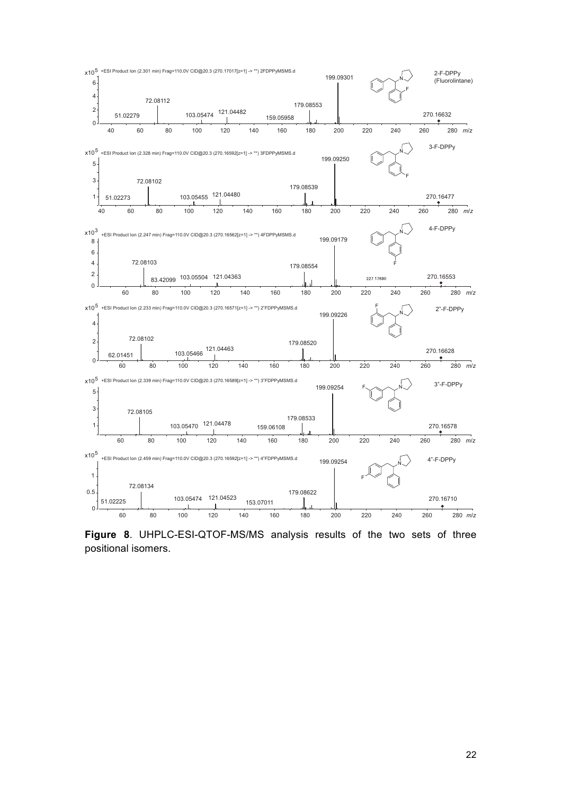

**Figure 8**. UHPLC-ESI-QTOF-MS/MS analysis results of the two sets of three positional isomers.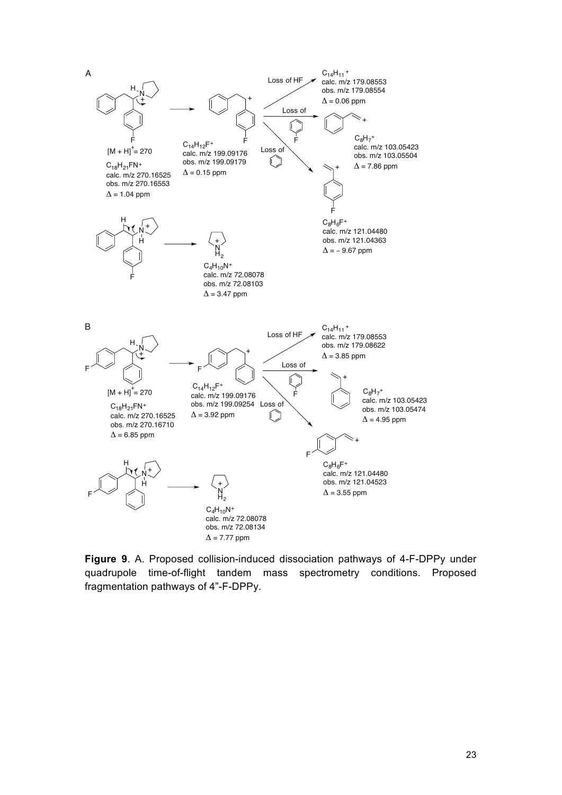

**Figure 9**. A. Proposed collision-induced dissociation pathways of 4-F-DPPy under quadrupole time-of-flight tandem mass spectrometry conditions. Proposed fragmentation pathways of 4"-F-DPPy.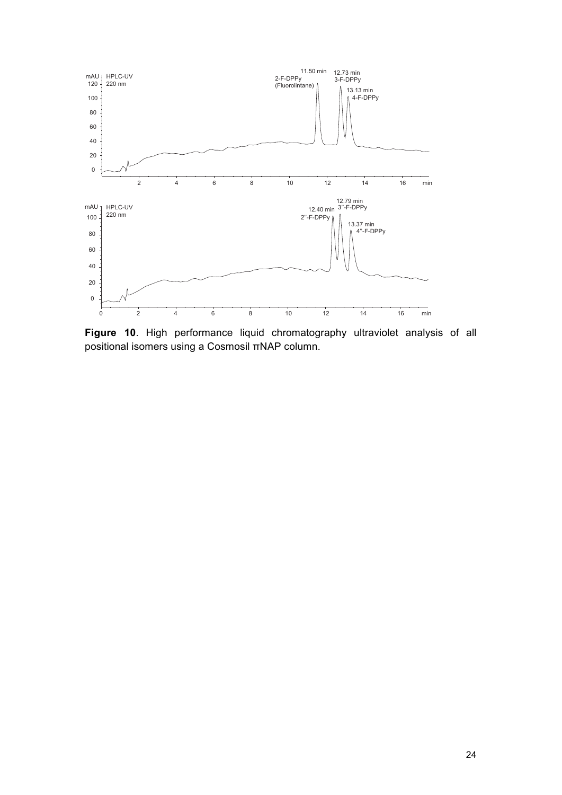

**Figure 10**. High performance liquid chromatography ultraviolet analysis of all positional isomers using a Cosmosil πNAP column.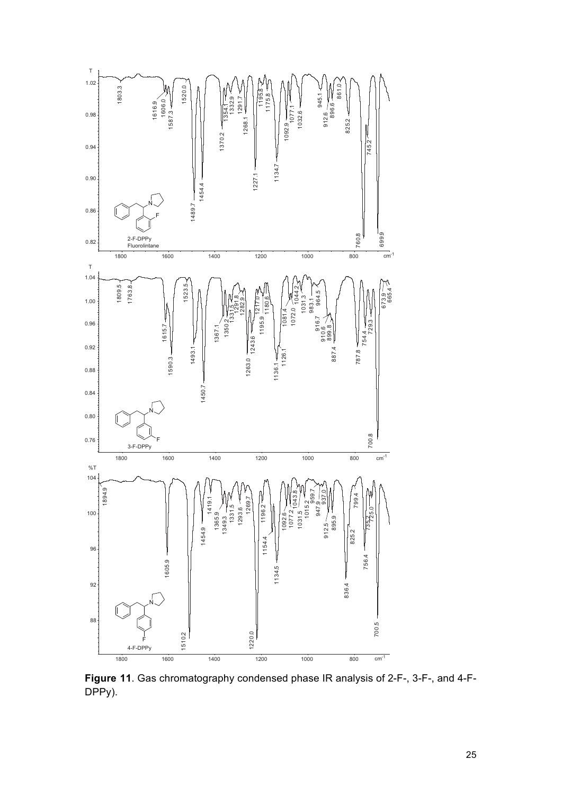

**Figure 11**. Gas chromatography condensed phase IR analysis of 2-F-, 3-F-, and 4-F-DPPy).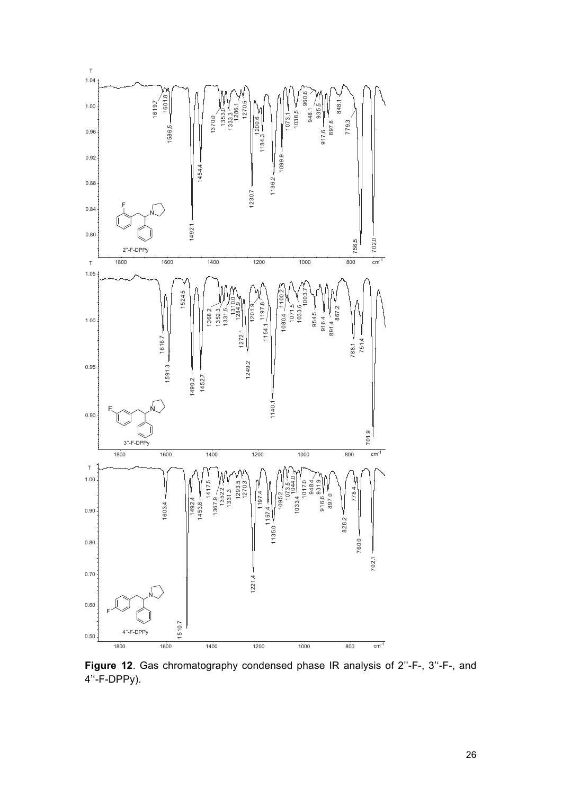

**Figure 12**. Gas chromatography condensed phase IR analysis of 2''-F-, 3''-F-, and 4''-F-DPPy).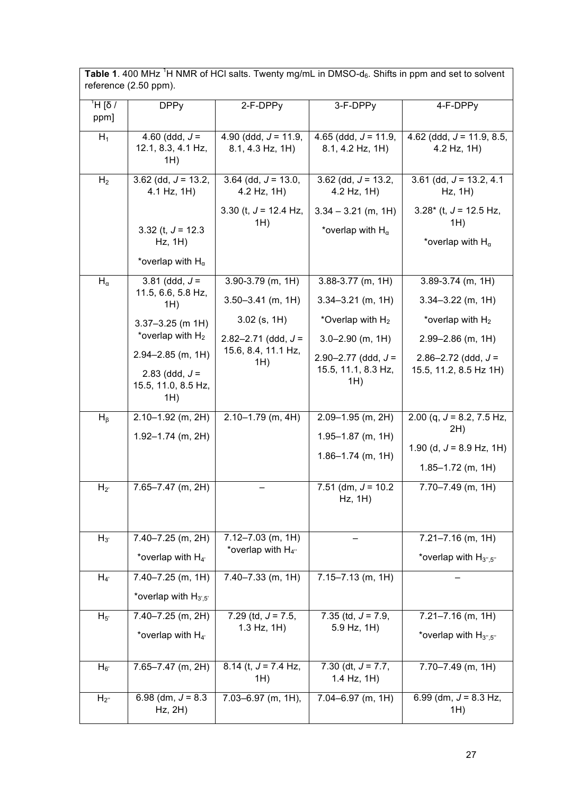Table 1. 400 MHz<sup>1</sup>H NMR of HCl salts. Twenty mg/mL in DMSO-d<sub>6</sub>. Shifts in ppm and set to solvent reference (2.50 ppm).

| $\sqrt{6}$ H<br>ppm] | <b>DPPy</b>                                                  | 2-F-DPPy                                      | 3-F-DPPy                                            | 4-F-DPPy                                                      |
|----------------------|--------------------------------------------------------------|-----------------------------------------------|-----------------------------------------------------|---------------------------------------------------------------|
| $H_1$                | 4.60 (ddd, $J =$<br>12.1, 8.3, 4.1 Hz,<br>1H)                | 4.90 (ddd, $J = 11.9$ ,<br>$8.1, 4.3$ Hz, 1H) | 4.65 (ddd, $J = 11.9$ ,<br>$8.1, 4.2$ Hz, 1H)       | 4.62 (ddd, $J = 11.9, 8.5$ ,<br>4.2 Hz, 1H)                   |
| H <sub>2</sub>       | $3.62$ (dd, $J = 13.2$ ,<br>4.1 Hz, 1H)                      | 3.64 (dd, $J = 13.0$ ,<br>4.2 Hz, 1H)         | 3.62 (dd, $J = 13.2$ ,<br>4.2 Hz, 1H)               | 3.61 (dd, $J = 13.2, 4.1$<br>Hz, 1H)                          |
|                      | 3.32 (t, $J = 12.3$<br>Hz, 1H)<br>*overlap with $H_{\alpha}$ | 3.30 (t, $J = 12.4$ Hz,<br>1H)                | $3.34 - 3.21$ (m, 1H)<br>*overlap with $H_{\alpha}$ | $3.28*$ (t, J = 12.5 Hz,<br>1H)<br>*overlap with $H_{\alpha}$ |
| $H_{\alpha}$         | 3.81 (ddd, $J =$                                             | $3.90 - 3.79$ (m, 1H)                         | $3.88 - 3.77$ (m, 1H)                               | $3.89 - 3.74$ (m, 1H)                                         |
|                      | 11.5, 6.6, 5.8 Hz,<br>1H)                                    | $3.50 - 3.41$ (m, 1H)                         | $3.34 - 3.21$ (m, 1H)                               | $3.34 - 3.22$ (m, 1H)                                         |
|                      | $3.37 - 3.25$ (m 1H)                                         | $3.02$ (s, 1H)                                | *Overlap with $H_2$                                 | *overlap with $H_2$                                           |
|                      | *overlap with $H_2$                                          | $2.82 - 2.71$ (ddd, $J =$                     | $3.0 - 2.90$ (m, 1H)                                | $2.99 - 2.86$ (m, 1H)                                         |
|                      | $2.94 - 2.85$ (m, 1H)                                        | 15.6, 8.4, 11.1 Hz,<br>1H)                    | $2.90 - 2.77$ (ddd, $J =$<br>15.5, 11.1, 8.3 Hz,    | $2.86 - 2.72$ (ddd, $J =$<br>15.5, 11.2, 8.5 Hz 1H)           |
|                      | 2.83 (ddd, $J =$<br>15.5, 11.0, 8.5 Hz,<br>1H)               |                                               | 1H)                                                 |                                                               |
| $H_{\beta}$          | $2.10 - 1.92$ (m, 2H)                                        | $2.10 - 1.79$ (m, 4H)                         | $2.09 - 1.95$ (m, 2H)                               | 2.00 (q, $J = 8.2$ , 7.5 Hz,                                  |
|                      | $1.92 - 1.74$ (m, 2H)                                        |                                               | $1.95 - 1.87$ (m, 1H)                               | 2H)                                                           |
|                      |                                                              |                                               | $1.86 - 1.74$ (m, 1H)                               | 1.90 (d, $J = 8.9$ Hz, 1H)                                    |
|                      |                                                              |                                               |                                                     | $1.85 - 1.72$ (m, 1H)                                         |
| $H_{2}$              | 7.65-7.47 (m, 2H)                                            |                                               | 7.51 (dm, $J = 10.2$<br>Hz, 1H)                     | $7.70 - 7.49$ (m, 1H)                                         |
|                      |                                                              |                                               |                                                     |                                                               |
| $H_{3'}$             | 7.40-7.25 (m, 2H)                                            | $7.12 - 7.03$ (m, 1H)                         |                                                     | $7.21 - 7.16$ (m, 1H)                                         |
|                      | *overlap with $H_{4'}$                                       | *overlap with $H_{4}$ "                       |                                                     | *overlap with $H_{3'',5''}$                                   |
| $H_{4}$              | $7.40 - 7.25$ (m, 1H)                                        | $7.40 - 7.33$ (m, 1H)                         | $7.15 - 7.13$ (m, 1H)                               |                                                               |
|                      | *overlap with $H_{3,5}$                                      |                                               |                                                     |                                                               |
| $H_{5'}$             | 7.40-7.25 (m, 2H)                                            | 7.29 (td, $J = 7.5$ ,                         | 7.35 (td, $J = 7.9$ ,                               | $7.21 - 7.16$ (m, 1H)                                         |
|                      | *overlap with $H_{4'}$                                       | $1.3$ Hz, $1H$ )                              | 5.9 Hz, 1H)                                         | *overlap with $H_{3'',5''}$                                   |
| $H_{6'}$             | 7.65-7.47 (m, 2H)                                            | 8.14 (t, $J = 7.4$ Hz,                        | 7.30 (dt, $J = 7.7$ ,                               | $7.70 - 7.49$ (m, 1H)                                         |
|                      |                                                              | 1H)                                           | $1.4$ Hz, $1H$ )                                    |                                                               |
| $H_{2}$              | 6.98 (dm, $J = 8.3$ )<br>$Hz$ , $2H$ )                       | $7.03 - 6.97$ (m, 1H),                        | $7.04 - 6.97$ (m, 1H)                               | 6.99 (dm, $J = 8.3$ Hz,<br>1H)                                |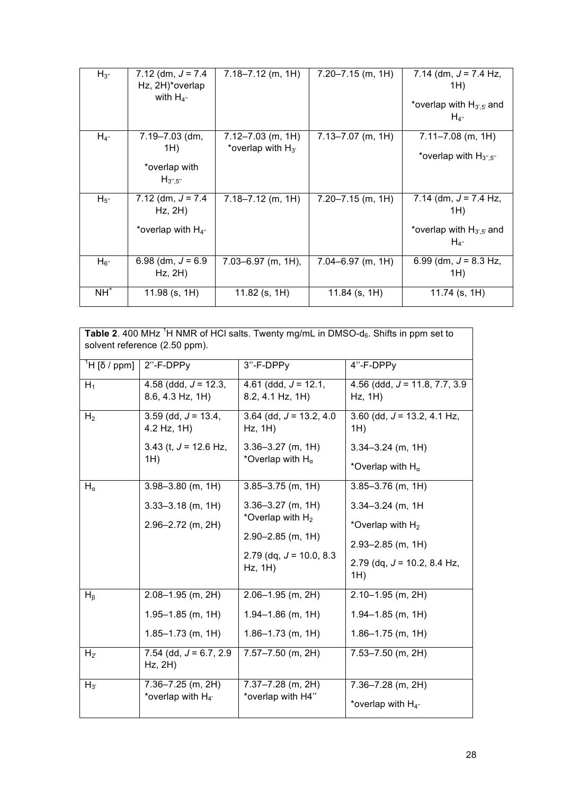| $H_{3}$   | $7.12$ (dm, $J = 7.4$<br>Hz, 2H)*overlap<br>with $H_{4}$      | $7.18 - 7.12$ (m, 1H)                           | $7.20 - 7.15$ (m, 1H) | 7.14 (dm, $J = 7.4$ Hz,<br>1H)<br>*overlap with $H_{3,5}$ and<br>$H_{4}$       |
|-----------|---------------------------------------------------------------|-------------------------------------------------|-----------------------|--------------------------------------------------------------------------------|
| $H_{4}$ " | 7.19-7.03 (dm,<br>1H)<br>*overlap with<br>$H_{3''.5''}$       | $7.12 - 7.03$ (m, 1H)<br>*overlap with $H_{3'}$ | $7.13 - 7.07$ (m, 1H) | $7.11 - 7.08$ (m, 1H)<br>*overlap with $H_{3^{\prime\prime},5^{\prime\prime}}$ |
| $H_{5}$   | 7.12 (dm, $J = 7.4$<br>$Hz$ , $2H$ )<br>*overlap with $H_{4}$ | $7.18 - 7.12$ (m, 1H)                           | $7.20 - 7.15$ (m, 1H) | 7.14 (dm, $J = 7.4$ Hz,<br>1H)<br>*overlap with $H_{3,5}$ and<br>$H_{4}$       |
| $H_{6}$   | 6.98 (dm, $J = 6.9$ )<br>Hz, 2H)                              | $7.03 - 6.97$ (m, 1H),                          | $7.04 - 6.97$ (m, 1H) | 6.99 (dm, $J = 8.3$ Hz,<br>1H)                                                 |
| $NH+$     | $11.98$ (s, 1H)                                               | $11.82$ (s, 1H)                                 | $11.84$ (s, 1H)       | $11.74$ (s, 1H)                                                                |

| <b>Table 2.</b> 400 MHz <sup>1</sup> H NMR of HCI salts. Twenty mg/mL in DMSO- $d_6$ . Shifts in ppm set to<br>solvent reference (2.50 ppm). |                                                |                                             |                                               |  |  |
|----------------------------------------------------------------------------------------------------------------------------------------------|------------------------------------------------|---------------------------------------------|-----------------------------------------------|--|--|
| <sup>1</sup> H [δ / ppm]                                                                                                                     | 2"-F-DPPy                                      | 3"-F-DPPy                                   | 4"-F-DPPy                                     |  |  |
| $H_1$                                                                                                                                        | 4.58 (ddd, $J = 12.3$ ,<br>8.6, 4.3 Hz, 1H)    | 4.61 (ddd, $J = 12.1$ ,<br>8.2, 4.1 Hz, 1H) | 4.56 (ddd, $J = 11.8, 7.7, 3.9$<br>$Hz$ , 1H) |  |  |
| H <sub>2</sub>                                                                                                                               | $3.59$ (dd, $J = 13.4$ ,<br>4.2 Hz, 1H)        | 3.64 (dd, $J = 13.2, 4.0$<br>Hz, 1H)        | 3.60 (dd, $J = 13.2$ , 4.1 Hz,<br>1H)         |  |  |
|                                                                                                                                              | 3.43 (t, $J = 12.6$ Hz,                        | $3.36 - 3.27$ (m, 1H)                       | $3.34 - 3.24$ (m, 1H)                         |  |  |
|                                                                                                                                              | $1H$ )                                         | *Overlap with $H_{\alpha}$                  | *Overlap with $H_{\alpha}$                    |  |  |
| $H_{\alpha}$                                                                                                                                 | $3.98 - 3.80$ (m, 1H)                          | $3.85 - 3.75$ (m, 1H)                       | $3.85 - 3.76$ (m, 1H)                         |  |  |
|                                                                                                                                              | $3.33 - 3.18$ (m, 1H)                          | $3.36 - 3.27$ (m, 1H)                       | $3.34 - 3.24$ (m, 1H)                         |  |  |
|                                                                                                                                              | $2.96 - 2.72$ (m, 2H)                          | *Overlap with H <sub>2</sub>                | *Overlap with $H_2$                           |  |  |
|                                                                                                                                              |                                                | $2.90 - 2.85$ (m, 1H)                       | $2.93 - 2.85$ (m, 1H)                         |  |  |
|                                                                                                                                              |                                                | $2.79$ (dq, $J = 10.0, 8.3$<br>Hz, 1H)      | 2.79 (dq, $J = 10.2$ , 8.4 Hz,<br>1H)         |  |  |
| $H_{\beta}$                                                                                                                                  | $2.08 - 1.95$ (m, 2H)                          | $2.06 - 1.95$ (m, 2H)                       | $2.10 - 1.95$ (m, 2H)                         |  |  |
|                                                                                                                                              | $1.95 - 1.85$ (m, 1H)                          | $1.94 - 1.86$ (m, 1H)                       | $1.94 - 1.85$ (m, 1H)                         |  |  |
|                                                                                                                                              | $1.85 - 1.73$ (m, 1H)                          | $1.86 - 1.73$ (m, 1H)                       | $1.86 - 1.75$ (m, 1H)                         |  |  |
| $H_{2}$                                                                                                                                      | 7.54 (dd, $J = 6.7, 2.9$ )<br>$Hz$ , $2H$ )    | $7.57 - 7.50$ (m, 2H)                       | $7.53 - 7.50$ (m, 2H)                         |  |  |
| $H_{3'}$                                                                                                                                     | $7.36 - 7.25$ (m, 2H)<br>*overlap with $H_{4}$ | $7.37 - 7.28$ (m, 2H)<br>*overlap with H4"  | $7.36 - 7.28$ (m, 2H)<br>.                    |  |  |

\*overlap with  $H_{4}$ "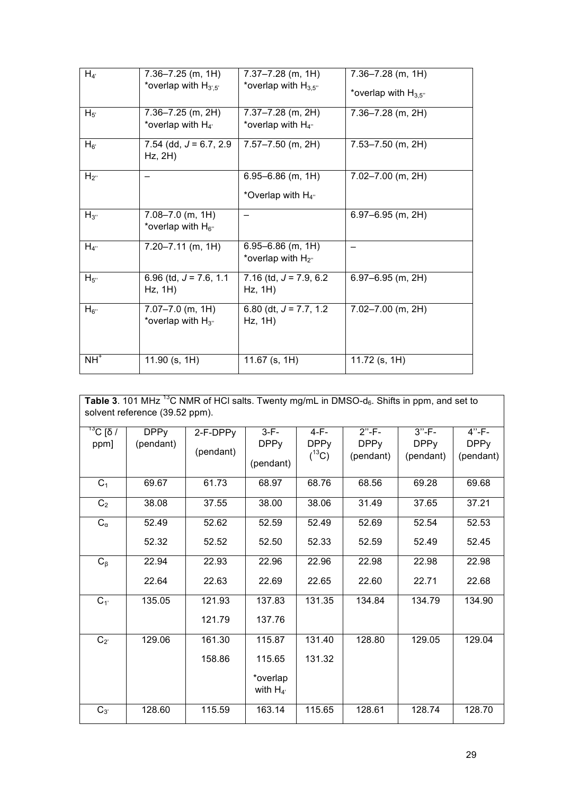| $H_{4}$   | 7.36-7.25 (m, 1H)<br>*overlap with $H_{3,5'}$   | $7.37 - 7.28$ (m, 1H)<br>*overlap with $H_{3,5}$ " | $7.36 - 7.28$ (m, 1H)     |
|-----------|-------------------------------------------------|----------------------------------------------------|---------------------------|
|           |                                                 |                                                    | *overlap with $H_{3.5}$ " |
| $H_{5'}$  | 7.36-7.25 (m, 2H)<br>*overlap with $H_{4}$      | $7.37 - 7.28$ (m, 2H)<br>*overlap with $H_{4}$ "   | $7.36 - 7.28$ (m, 2H)     |
|           |                                                 |                                                    |                           |
| $H_{6'}$  | 7.54 (dd, $J = 6.7, 2.9$ )<br>$Hz$ , $2H$ )     | $7.57 - 7.50$ (m, 2H)                              | 7.53-7.50 (m, 2H)         |
| $H_{2}$   |                                                 | $6.95 - 6.86$ (m, 1H)                              | $7.02 - 7.00$ (m, 2H)     |
|           |                                                 | *Overlap with $H_{4}$ "                            |                           |
| $H_{3''}$ | $7.08 - 7.0$ (m, 1H)<br>*overlap with $H_{6}$ " |                                                    | $6.97 - 6.95$ (m, 2H)     |
| $H_{4}$   | $7.20 - 7.11$ (m, 1H)                           | $6.95 - 6.86$ (m, 1H)<br>*overlap with $H_{2}$ "   |                           |
| $H_{5}$   | 6.96 (td, $J = 7.6$ , 1.1<br>Hz, 1H)            | 7.16 (td, $J = 7.9, 6.2$<br>Hz, 1H)                | $6.97 - 6.95$ (m, 2H)     |
| $H_{6}$   | $7.07 - 7.0$ (m, 1H)<br>*overlap with $H_{3}$ " | 6.80 (dt, $J = 7.7, 1.2$<br>Hz, 1H)                | $7.02 - 7.00$ (m, 2H)     |
| $NH+$     | 11.90 (s, 1H)                                   | 11.67 (s, $1H$ )                                   | 11.72 $(s, 1H)$           |

| Table 3. 101 MHz <sup>13</sup> C NMR of HCI salts. Twenty mg/mL in DMSO- $d_6$ . Shifts in ppm, and set to<br>solvent reference (39.52 ppm). |             |           |                           |             |             |             |             |
|----------------------------------------------------------------------------------------------------------------------------------------------|-------------|-----------|---------------------------|-------------|-------------|-------------|-------------|
| <sup>13</sup> C [δ /                                                                                                                         | <b>DPPy</b> | 2-F-DPPy  | $3-F-$                    | $4-F-$      | $2" - F -$  | $3" - F -$  | $4" - F -$  |
| ppm]                                                                                                                                         | (pendant)   | (pendant) | <b>DPPy</b>               | <b>DPPy</b> | <b>DPPy</b> | <b>DPPy</b> | <b>DPPy</b> |
|                                                                                                                                              |             |           | (pendant)                 | $(^{13}C)$  | (pendant)   | (pendant)   | (pendant)   |
| C <sub>1</sub>                                                                                                                               | 69.67       | 61.73     | 68.97                     | 68.76       | 68.56       | 69.28       | 69.68       |
| C <sub>2</sub>                                                                                                                               | 38.08       | 37.55     | 38.00                     | 38.06       | 31.49       | 37.65       | 37.21       |
| $C_{\alpha}$                                                                                                                                 | 52.49       | 52.62     | 52.59                     | 52.49       | 52.69       | 52.54       | 52.53       |
|                                                                                                                                              | 52.32       | 52.52     | 52.50                     | 52.33       | 52.59       | 52.49       | 52.45       |
| $C_{\beta}$                                                                                                                                  | 22.94       | 22.93     | 22.96                     | 22.96       | 22.98       | 22.98       | 22.98       |
|                                                                                                                                              | 22.64       | 22.63     | 22.69                     | 22.65       | 22.60       | 22.71       | 22.68       |
| $C_{1'}$                                                                                                                                     | 135.05      | 121.93    | 137.83                    | 131.35      | 134.84      | 134.79      | 134.90      |
|                                                                                                                                              |             | 121.79    | 137.76                    |             |             |             |             |
| $C_{2'}$                                                                                                                                     | 129.06      | 161.30    | 115.87                    | 131.40      | 128.80      | 129.05      | 129.04      |
|                                                                                                                                              |             | 158.86    | 115.65                    | 131.32      |             |             |             |
|                                                                                                                                              |             |           | *overlap<br>with $H_{4'}$ |             |             |             |             |
| $C_{3'}$                                                                                                                                     | 128.60      | 115.59    | 163.14                    | 115.65      | 128.61      | 128.74      | 128.70      |